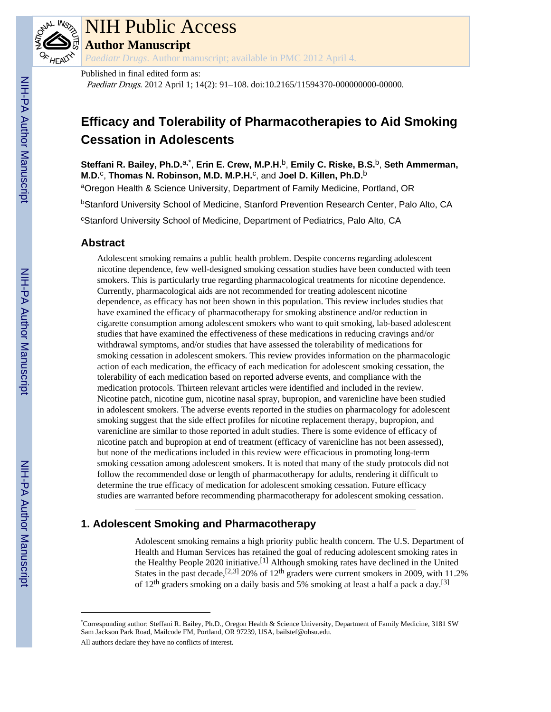

# NIH Public Access

**Author Manuscript**

*Paediatr Drugs*. Author manuscript; available in PMC 2012 April 4.

Published in final edited form as:

Paediatr Drugs. 2012 April 1; 14(2): 91–108. doi:10.2165/11594370-000000000-00000.

# **Efficacy and Tolerability of Pharmacotherapies to Aid Smoking Cessation in Adolescents**

**Steffani R. Bailey, Ph.D.**a,\* , **Erin E. Crew, M.P.H.**b, **Emily C. Riske, B.S.**b, **Seth Ammerman, M.D.<sup>c</sup>, Thomas N. Robinson, M.D. M.P.H.<sup>c</sup>, and Joel D. Killen, Ph.D.<sup>b</sup>** 

aOregon Health & Science University, Department of Family Medicine, Portland, OR

**bStanford University School of Medicine, Stanford Prevention Research Center, Palo Alto, CA** 

<sup>c</sup>Stanford University School of Medicine, Department of Pediatrics, Palo Alto, CA

# **Abstract**

Adolescent smoking remains a public health problem. Despite concerns regarding adolescent nicotine dependence, few well-designed smoking cessation studies have been conducted with teen smokers. This is particularly true regarding pharmacological treatments for nicotine dependence. Currently, pharmacological aids are not recommended for treating adolescent nicotine dependence, as efficacy has not been shown in this population. This review includes studies that have examined the efficacy of pharmacotherapy for smoking abstinence and/or reduction in cigarette consumption among adolescent smokers who want to quit smoking, lab-based adolescent studies that have examined the effectiveness of these medications in reducing cravings and/or withdrawal symptoms, and/or studies that have assessed the tolerability of medications for smoking cessation in adolescent smokers. This review provides information on the pharmacologic action of each medication, the efficacy of each medication for adolescent smoking cessation, the tolerability of each medication based on reported adverse events, and compliance with the medication protocols. Thirteen relevant articles were identified and included in the review. Nicotine patch, nicotine gum, nicotine nasal spray, bupropion, and varenicline have been studied in adolescent smokers. The adverse events reported in the studies on pharmacology for adolescent smoking suggest that the side effect profiles for nicotine replacement therapy, bupropion, and varenicline are similar to those reported in adult studies. There is some evidence of efficacy of nicotine patch and bupropion at end of treatment (efficacy of varenicline has not been assessed), but none of the medications included in this review were efficacious in promoting long-term smoking cessation among adolescent smokers. It is noted that many of the study protocols did not follow the recommended dose or length of pharmacotherapy for adults, rendering it difficult to determine the true efficacy of medication for adolescent smoking cessation. Future efficacy studies are warranted before recommending pharmacotherapy for adolescent smoking cessation.

# **1. Adolescent Smoking and Pharmacotherapy**

Adolescent smoking remains a high priority public health concern. The U.S. Department of Health and Human Services has retained the goal of reducing adolescent smoking rates in the Healthy People 2020 initiative.[1] Although smoking rates have declined in the United States in the past decade,<sup>[2,3]</sup> 20% of 12<sup>th</sup> graders were current smokers in 2009, with 11.2% of 12<sup>th</sup> graders smoking on a daily basis and 5% smoking at least a half a pack a day.<sup>[3]</sup>

<sup>\*</sup>Corresponding author: Steffani R. Bailey, Ph.D., Oregon Health & Science University, Department of Family Medicine, 3181 SW Sam Jackson Park Road, Mailcode FM, Portland, OR 97239, USA, bailstef@ohsu.edu.

All authors declare they have no conflicts of interest.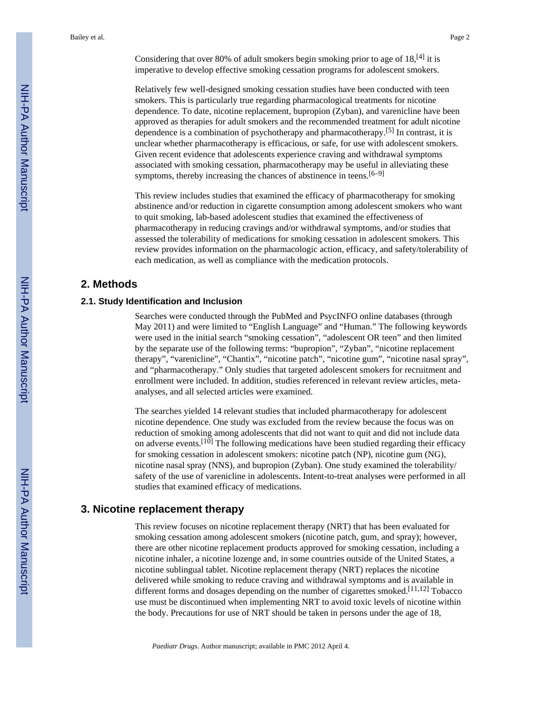Considering that over 80% of adult smokers begin smoking prior to age of  $18$ <sup>[4]</sup> it is imperative to develop effective smoking cessation programs for adolescent smokers.

Relatively few well-designed smoking cessation studies have been conducted with teen smokers. This is particularly true regarding pharmacological treatments for nicotine dependence. To date, nicotine replacement, bupropion (Zyban), and varenicline have been approved as therapies for adult smokers and the recommended treatment for adult nicotine dependence is a combination of psychotherapy and pharmacotherapy.<sup>[5]</sup> In contrast, it is unclear whether pharmacotherapy is efficacious, or safe, for use with adolescent smokers. Given recent evidence that adolescents experience craving and withdrawal symptoms associated with smoking cessation, pharmacotherapy may be useful in alleviating these symptoms, thereby increasing the chances of abstinence in teens.  $[6-9]$ 

This review includes studies that examined the efficacy of pharmacotherapy for smoking abstinence and/or reduction in cigarette consumption among adolescent smokers who want to quit smoking, lab-based adolescent studies that examined the effectiveness of pharmacotherapy in reducing cravings and/or withdrawal symptoms, and/or studies that assessed the tolerability of medications for smoking cessation in adolescent smokers. This review provides information on the pharmacologic action, efficacy, and safety/tolerability of each medication, as well as compliance with the medication protocols.

# **2. Methods**

# **2.1. Study Identification and Inclusion**

Searches were conducted through the PubMed and PsycINFO online databases (through May 2011) and were limited to "English Language" and "Human." The following keywords were used in the initial search "smoking cessation", "adolescent OR teen" and then limited by the separate use of the following terms: "bupropion", "Zyban", "nicotine replacement therapy", "varenicline", "Chantix", "nicotine patch", "nicotine gum", "nicotine nasal spray", and "pharmacotherapy." Only studies that targeted adolescent smokers for recruitment and enrollment were included. In addition, studies referenced in relevant review articles, metaanalyses, and all selected articles were examined.

The searches yielded 14 relevant studies that included pharmacotherapy for adolescent nicotine dependence. One study was excluded from the review because the focus was on reduction of smoking among adolescents that did not want to quit and did not include data on adverse events.<sup>[10]</sup> The following medications have been studied regarding their efficacy for smoking cessation in adolescent smokers: nicotine patch (NP), nicotine gum (NG), nicotine nasal spray (NNS), and bupropion (Zyban). One study examined the tolerability/ safety of the use of varenicline in adolescents. Intent-to-treat analyses were performed in all studies that examined efficacy of medications.

# **3. Nicotine replacement therapy**

This review focuses on nicotine replacement therapy (NRT) that has been evaluated for smoking cessation among adolescent smokers (nicotine patch, gum, and spray); however, there are other nicotine replacement products approved for smoking cessation, including a nicotine inhaler, a nicotine lozenge and, in some countries outside of the United States, a nicotine sublingual tablet. Nicotine replacement therapy (NRT) replaces the nicotine delivered while smoking to reduce craving and withdrawal symptoms and is available in different forms and dosages depending on the number of cigarettes smoked.<sup>[11,12]</sup> Tobacco use must be discontinued when implementing NRT to avoid toxic levels of nicotine within the body. Precautions for use of NRT should be taken in persons under the age of 18,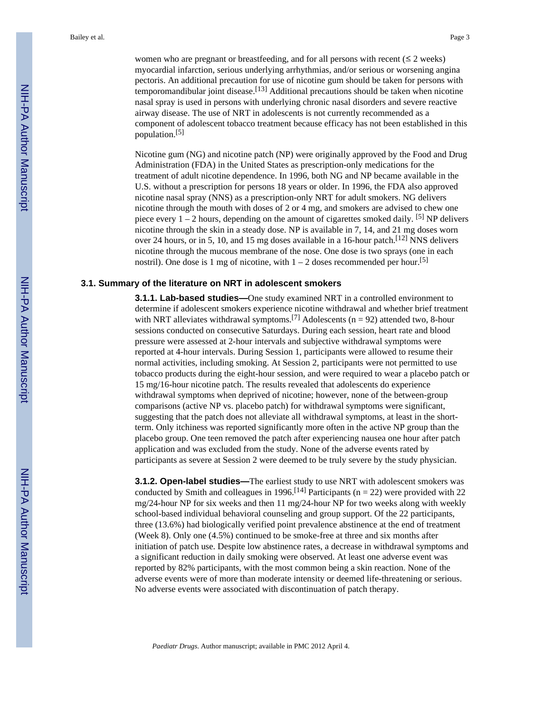women who are pregnant or breastfeeding, and for all persons with recent  $(\leq 2 \text{ weeks})$ myocardial infarction, serious underlying arrhythmias, and/or serious or worsening angina pectoris. An additional precaution for use of nicotine gum should be taken for persons with temporomandibular joint disease.<sup>[13]</sup> Additional precautions should be taken when nicotine nasal spray is used in persons with underlying chronic nasal disorders and severe reactive airway disease. The use of NRT in adolescents is not currently recommended as a component of adolescent tobacco treatment because efficacy has not been established in this population.[5]

Nicotine gum (NG) and nicotine patch (NP) were originally approved by the Food and Drug Administration (FDA) in the United States as prescription-only medications for the treatment of adult nicotine dependence. In 1996, both NG and NP became available in the U.S. without a prescription for persons 18 years or older. In 1996, the FDA also approved nicotine nasal spray (NNS) as a prescription-only NRT for adult smokers. NG delivers nicotine through the mouth with doses of 2 or 4 mg, and smokers are advised to chew one piece every  $1 - 2$  hours, depending on the amount of cigarettes smoked daily. <sup>[5]</sup> NP delivers nicotine through the skin in a steady dose. NP is available in 7, 14, and 21 mg doses worn over 24 hours, or in 5, 10, and 15 mg doses available in a 16-hour patch.<sup>[12]</sup> NNS delivers nicotine through the mucous membrane of the nose. One dose is two sprays (one in each nostril). One dose is 1 mg of nicotine, with  $1 - 2$  doses recommended per hour.<sup>[5]</sup>

#### **3.1. Summary of the literature on NRT in adolescent smokers**

**3.1.1. Lab-based studies—**One study examined NRT in a controlled environment to determine if adolescent smokers experience nicotine withdrawal and whether brief treatment with NRT alleviates withdrawal symptoms.<sup>[7]</sup> Adolescents ( $n = 92$ ) attended two, 8-hour sessions conducted on consecutive Saturdays. During each session, heart rate and blood pressure were assessed at 2-hour intervals and subjective withdrawal symptoms were reported at 4-hour intervals. During Session 1, participants were allowed to resume their normal activities, including smoking. At Session 2, participants were not permitted to use tobacco products during the eight-hour session, and were required to wear a placebo patch or 15 mg/16-hour nicotine patch. The results revealed that adolescents do experience withdrawal symptoms when deprived of nicotine; however, none of the between-group comparisons (active NP vs. placebo patch) for withdrawal symptoms were significant, suggesting that the patch does not alleviate all withdrawal symptoms, at least in the shortterm. Only itchiness was reported significantly more often in the active NP group than the placebo group. One teen removed the patch after experiencing nausea one hour after patch application and was excluded from the study. None of the adverse events rated by participants as severe at Session 2 were deemed to be truly severe by the study physician.

**3.1.2. Open-label studies—**The earliest study to use NRT with adolescent smokers was conducted by Smith and colleagues in 1996.<sup>[14]</sup> Participants ( $n = 22$ ) were provided with 22 mg/24-hour NP for six weeks and then 11 mg/24-hour NP for two weeks along with weekly school-based individual behavioral counseling and group support. Of the 22 participants, three (13.6%) had biologically verified point prevalence abstinence at the end of treatment (Week 8). Only one (4.5%) continued to be smoke-free at three and six months after initiation of patch use. Despite low abstinence rates, a decrease in withdrawal symptoms and a significant reduction in daily smoking were observed. At least one adverse event was reported by 82% participants, with the most common being a skin reaction. None of the adverse events were of more than moderate intensity or deemed life-threatening or serious. No adverse events were associated with discontinuation of patch therapy.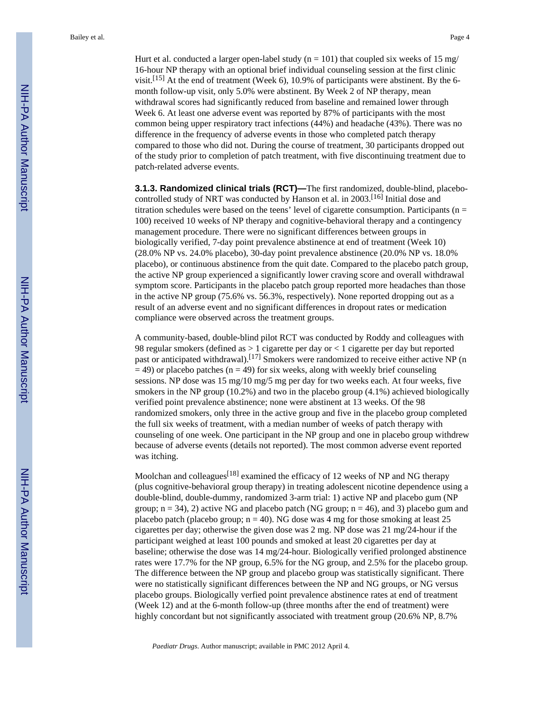Bailey et al. Page 4

Hurt et al. conducted a larger open-label study ( $n = 101$ ) that coupled six weeks of 15 mg/ 16-hour NP therapy with an optional brief individual counseling session at the first clinic visit.<sup>[15]</sup> At the end of treatment (Week 6), 10.9% of participants were abstinent. By the 6month follow-up visit, only 5.0% were abstinent. By Week 2 of NP therapy, mean withdrawal scores had significantly reduced from baseline and remained lower through Week 6. At least one adverse event was reported by 87% of participants with the most common being upper respiratory tract infections (44%) and headache (43%). There was no difference in the frequency of adverse events in those who completed patch therapy compared to those who did not. During the course of treatment, 30 participants dropped out of the study prior to completion of patch treatment, with five discontinuing treatment due to patch-related adverse events.

**3.1.3. Randomized clinical trials (RCT)—**The first randomized, double-blind, placebocontrolled study of NRT was conducted by Hanson et al. in 2003.[16] Initial dose and titration schedules were based on the teens' level of cigarette consumption. Participants ( $n =$ 100) received 10 weeks of NP therapy and cognitive-behavioral therapy and a contingency management procedure. There were no significant differences between groups in biologically verified, 7-day point prevalence abstinence at end of treatment (Week 10) (28.0% NP vs. 24.0% placebo), 30-day point prevalence abstinence (20.0% NP vs. 18.0% placebo), or continuous abstinence from the quit date. Compared to the placebo patch group, the active NP group experienced a significantly lower craving score and overall withdrawal symptom score. Participants in the placebo patch group reported more headaches than those in the active NP group (75.6% vs. 56.3%, respectively). None reported dropping out as a result of an adverse event and no significant differences in dropout rates or medication compliance were observed across the treatment groups.

A community-based, double-blind pilot RCT was conducted by Roddy and colleagues with 98 regular smokers (defined as  $> 1$  cigarette per day or  $< 1$  cigarette per day but reported past or anticipated withdrawal).[17] Smokers were randomized to receive either active NP (n  $=$  49) or placebo patches (n = 49) for six weeks, along with weekly brief counseling sessions. NP dose was 15 mg/10 mg/5 mg per day for two weeks each. At four weeks, five smokers in the NP group (10.2%) and two in the placebo group (4.1%) achieved biologically verified point prevalence abstinence; none were abstinent at 13 weeks. Of the 98 randomized smokers, only three in the active group and five in the placebo group completed the full six weeks of treatment, with a median number of weeks of patch therapy with counseling of one week. One participant in the NP group and one in placebo group withdrew because of adverse events (details not reported). The most common adverse event reported was itching.

Moolchan and colleagues<sup>[18]</sup> examined the efficacy of 12 weeks of NP and NG therapy (plus cognitive-behavioral group therapy) in treating adolescent nicotine dependence using a double-blind, double-dummy, randomized 3-arm trial: 1) active NP and placebo gum (NP group;  $n = 34$ ), 2) active NG and placebo patch (NG group;  $n = 46$ ), and 3) placebo gum and placebo patch (placebo group;  $n = 40$ ). NG dose was 4 mg for those smoking at least 25 cigarettes per day; otherwise the given dose was 2 mg. NP dose was 21 mg/24-hour if the participant weighed at least 100 pounds and smoked at least 20 cigarettes per day at baseline; otherwise the dose was 14 mg/24-hour. Biologically verified prolonged abstinence rates were 17.7% for the NP group, 6.5% for the NG group, and 2.5% for the placebo group. The difference between the NP group and placebo group was statistically significant. There were no statistically significant differences between the NP and NG groups, or NG versus placebo groups. Biologically verfied point prevalence abstinence rates at end of treatment (Week 12) and at the 6-month follow-up (three months after the end of treatment) were highly concordant but not significantly associated with treatment group (20.6% NP, 8.7%)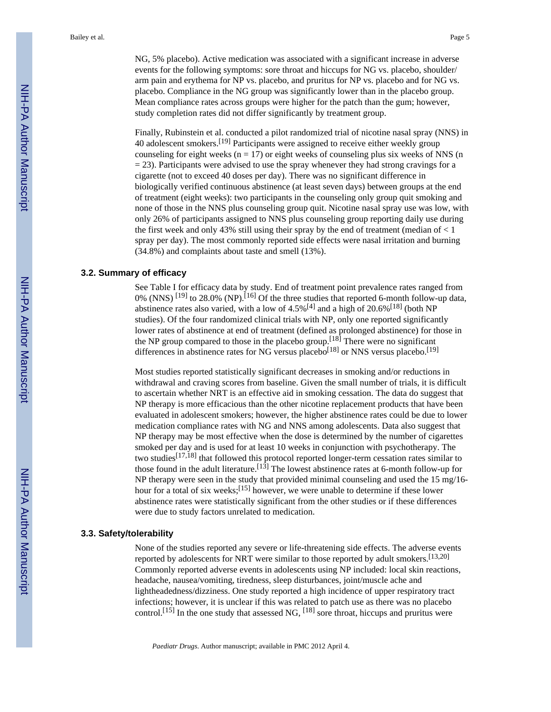NG, 5% placebo). Active medication was associated with a significant increase in adverse events for the following symptoms: sore throat and hiccups for NG vs. placebo, shoulder/ arm pain and erythema for NP vs. placebo, and pruritus for NP vs. placebo and for NG vs. placebo. Compliance in the NG group was significantly lower than in the placebo group. Mean compliance rates across groups were higher for the patch than the gum; however, study completion rates did not differ significantly by treatment group.

Finally, Rubinstein et al. conducted a pilot randomized trial of nicotine nasal spray (NNS) in 40 adolescent smokers.<sup>[19]</sup> Participants were assigned to receive either weekly group counseling for eight weeks ( $n = 17$ ) or eight weeks of counseling plus six weeks of NNS (n  $= 23$ ). Participants were advised to use the spray whenever they had strong cravings for a cigarette (not to exceed 40 doses per day). There was no significant difference in biologically verified continuous abstinence (at least seven days) between groups at the end of treatment (eight weeks): two participants in the counseling only group quit smoking and none of those in the NNS plus counseling group quit. Nicotine nasal spray use was low, with only 26% of participants assigned to NNS plus counseling group reporting daily use during the first week and only 43% still using their spray by the end of treatment (median of  $\lt 1$ ) spray per day). The most commonly reported side effects were nasal irritation and burning (34.8%) and complaints about taste and smell (13%).

# **3.2. Summary of efficacy**

See Table I for efficacy data by study. End of treatment point prevalence rates ranged from 0% (NNS)  $^{[19]}$  to 28.0% (NP).  $^{[16]}$  Of the three studies that reported 6-month follow-up data, abstinence rates also varied, with a low of  $4.5\%$ <sup>[4]</sup> and a high of  $20.6\%$ <sup>[18]</sup> (both NP studies). Of the four randomized clinical trials with NP, only one reported significantly lower rates of abstinence at end of treatment (defined as prolonged abstinence) for those in the NP group compared to those in the placebo group.<sup>[18]</sup> There were no significant differences in abstinence rates for NG versus placebo<sup>[18]</sup> or NNS versus placebo.<sup>[19]</sup>

Most studies reported statistically significant decreases in smoking and/or reductions in withdrawal and craving scores from baseline. Given the small number of trials, it is difficult to ascertain whether NRT is an effective aid in smoking cessation. The data do suggest that NP therapy is more efficacious than the other nicotine replacement products that have been evaluated in adolescent smokers; however, the higher abstinence rates could be due to lower medication compliance rates with NG and NNS among adolescents. Data also suggest that NP therapy may be most effective when the dose is determined by the number of cigarettes smoked per day and is used for at least 10 weeks in conjunction with psychotherapy. The two studies[17,18] that followed this protocol reported longer-term cessation rates similar to those found in the adult literature.<sup>[13]</sup> The lowest abstinence rates at 6-month follow-up for NP therapy were seen in the study that provided minimal counseling and used the 15 mg/16 hour for a total of six weeks;[15] however, we were unable to determine if these lower abstinence rates were statistically significant from the other studies or if these differences were due to study factors unrelated to medication.

# **3.3. Safety/tolerability**

None of the studies reported any severe or life-threatening side effects. The adverse events reported by adolescents for NRT were similar to those reported by adult smokers.<sup>[13,20]</sup> Commonly reported adverse events in adolescents using NP included: local skin reactions, headache, nausea/vomiting, tiredness, sleep disturbances, joint/muscle ache and lightheadedness/dizziness. One study reported a high incidence of upper respiratory tract infections; however, it is unclear if this was related to patch use as there was no placebo control.<sup>[15]</sup> In the one study that assessed NG, <sup>[18]</sup> sore throat, hiccups and pruritus were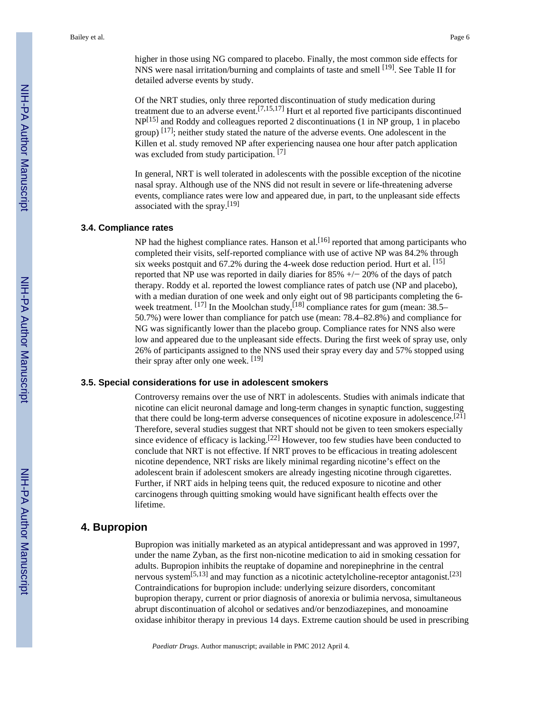higher in those using NG compared to placebo. Finally, the most common side effects for NNS were nasal irritation/burning and complaints of taste and smell [19]. See Table II for detailed adverse events by study.

Of the NRT studies, only three reported discontinuation of study medication during treatment due to an adverse event.[7,15,17] Hurt et al reported five participants discontinued NP[15] and Roddy and colleagues reported 2 discontinuations (1 in NP group, 1 in placebo group)  $[17]$ ; neither study stated the nature of the adverse events. One adolescent in the Killen et al. study removed NP after experiencing nausea one hour after patch application was excluded from study participation. [7]

In general, NRT is well tolerated in adolescents with the possible exception of the nicotine nasal spray. Although use of the NNS did not result in severe or life-threatening adverse events, compliance rates were low and appeared due, in part, to the unpleasant side effects associated with the spray.<sup>[19]</sup>

# **3.4. Compliance rates**

NP had the highest compliance rates. Hanson et al.<sup>[16]</sup> reported that among participants who completed their visits, self-reported compliance with use of active NP was 84.2% through six weeks postquit and 67.2% during the 4-week dose reduction period. Hurt et al. [15] reported that NP use was reported in daily diaries for 85% +/− 20% of the days of patch therapy. Roddy et al. reported the lowest compliance rates of patch use (NP and placebo), with a median duration of one week and only eight out of 98 participants completing the 6 week treatment.  $[17]$  In the Moolchan study,  $[18]$  compliance rates for gum (mean: 38.5– 50.7%) were lower than compliance for patch use (mean: 78.4–82.8%) and compliance for NG was significantly lower than the placebo group. Compliance rates for NNS also were low and appeared due to the unpleasant side effects. During the first week of spray use, only 26% of participants assigned to the NNS used their spray every day and 57% stopped using their spray after only one week. [19]

# **3.5. Special considerations for use in adolescent smokers**

Controversy remains over the use of NRT in adolescents. Studies with animals indicate that nicotine can elicit neuronal damage and long-term changes in synaptic function, suggesting that there could be long-term adverse consequences of nicotine exposure in adolescence.[21] Therefore, several studies suggest that NRT should not be given to teen smokers especially since evidence of efficacy is lacking.[22] However, too few studies have been conducted to conclude that NRT is not effective. If NRT proves to be efficacious in treating adolescent nicotine dependence, NRT risks are likely minimal regarding nicotine's effect on the adolescent brain if adolescent smokers are already ingesting nicotine through cigarettes. Further, if NRT aids in helping teens quit, the reduced exposure to nicotine and other carcinogens through quitting smoking would have significant health effects over the lifetime.

# **4. Bupropion**

Bupropion was initially marketed as an atypical antidepressant and was approved in 1997, under the name Zyban, as the first non-nicotine medication to aid in smoking cessation for adults. Bupropion inhibits the reuptake of dopamine and norepinephrine in the central nervous system $[5,13]$  and may function as a nicotinic actetylcholine-receptor antagonist.<sup>[23]</sup> Contraindications for bupropion include: underlying seizure disorders, concomitant bupropion therapy, current or prior diagnosis of anorexia or bulimia nervosa, simultaneous abrupt discontinuation of alcohol or sedatives and/or benzodiazepines, and monoamine oxidase inhibitor therapy in previous 14 days. Extreme caution should be used in prescribing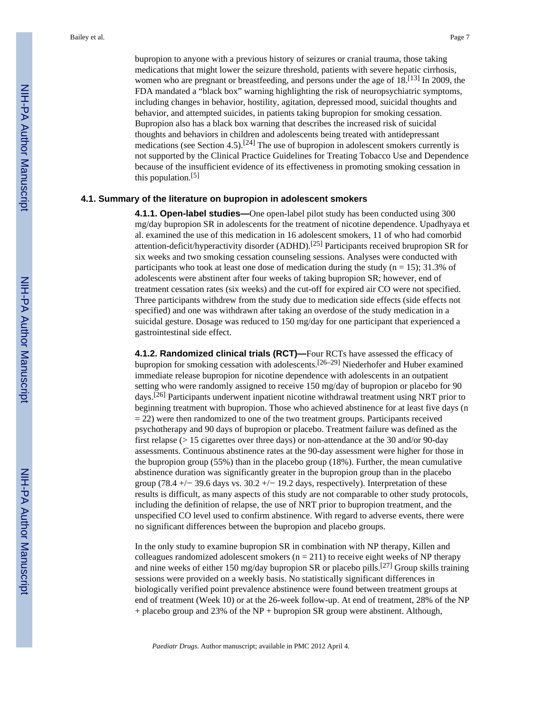bupropion to anyone with a previous history of seizures or cranial trauma, those taking medications that might lower the seizure threshold, patients with severe hepatic cirrhosis, women who are pregnant or breastfeeding, and persons under the age of 18.<sup>[13]</sup> In 2009, the FDA mandated a "black box" warning highlighting the risk of neuropsychiatric symptoms, including changes in behavior, hostility, agitation, depressed mood, suicidal thoughts and behavior, and attempted suicides, in patients taking bupropion for smoking cessation. Bupropion also has a black box warning that describes the increased risk of suicidal thoughts and behaviors in children and adolescents being treated with antidepressant medications (see Section 4.5).<sup>[24]</sup> The use of bupropion in adolescent smokers currently is not supported by the Clinical Practice Guidelines for Treating Tobacco Use and Dependence because of the insufficient evidence of its effectiveness in promoting smoking cessation in this population.[5]

#### **4.1. Summary of the literature on bupropion in adolescent smokers**

**4.1.1. Open-label studies—**One open-label pilot study has been conducted using 300 mg/day bupropion SR in adolescents for the treatment of nicotine dependence. Upadhyaya et al. examined the use of this medication in 16 adolescent smokers, 11 of who had comorbid attention-deficit/hyperactivity disorder (ADHD).[25] Participants received brupropion SR for six weeks and two smoking cessation counseling sessions. Analyses were conducted with participants who took at least one dose of medication during the study ( $n = 15$ ); 31.3% of adolescents were abstinent after four weeks of taking bupropion SR; however, end of treatment cessation rates (six weeks) and the cut-off for expired air CO were not specified. Three participants withdrew from the study due to medication side effects (side effects not specified) and one was withdrawn after taking an overdose of the study medication in a suicidal gesture. Dosage was reduced to 150 mg/day for one participant that experienced a gastrointestinal side effect.

**4.1.2. Randomized clinical trials (RCT)—**Four RCTs have assessed the efficacy of bupropion for smoking cessation with adolescents.[26–29] Niederhofer and Huber examined immediate release bupropion for nicotine dependence with adolescents in an outpatient setting who were randomly assigned to receive 150 mg/day of bupropion or placebo for 90 days.[26] Participants underwent inpatient nicotine withdrawal treatment using NRT prior to beginning treatment with bupropion. Those who achieved abstinence for at least five days (n  $= 22$ ) were then randomized to one of the two treatment groups. Participants received psychotherapy and 90 days of bupropion or placebo. Treatment failure was defined as the first relapse (> 15 cigarettes over three days) or non-attendance at the 30 and/or 90-day assessments. Continuous abstinence rates at the 90-day assessment were higher for those in the bupropion group (55%) than in the placebo group (18%). Further, the mean cumulative abstinence duration was significantly greater in the bupropion group than in the placebo group (78.4 +/− 39.6 days vs. 30.2 +/− 19.2 days, respectively). Interpretation of these results is difficult, as many aspects of this study are not comparable to other study protocols, including the definition of relapse, the use of NRT prior to bupropion treatment, and the unspecified CO level used to confirm abstinence. With regard to adverse events, there were no significant differences between the bupropion and placebo groups.

In the only study to examine bupropion SR in combination with NP therapy, Killen and colleagues randomized adolescent smokers ( $n = 211$ ) to receive eight weeks of NP therapy and nine weeks of either 150 mg/day bupropion SR or placebo pills.<sup>[27]</sup> Group skills training sessions were provided on a weekly basis. No statistically significant differences in biologically verified point prevalence abstinence were found between treatment groups at end of treatment (Week 10) or at the 26-week follow-up. At end of treatment, 28% of the NP + placebo group and 23% of the NP + bupropion SR group were abstinent. Although,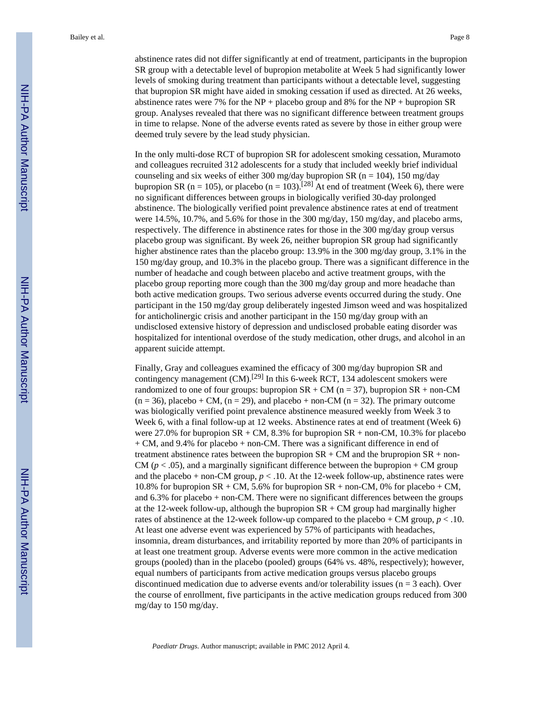abstinence rates did not differ significantly at end of treatment, participants in the bupropion SR group with a detectable level of bupropion metabolite at Week 5 had significantly lower levels of smoking during treatment than participants without a detectable level, suggesting that bupropion SR might have aided in smoking cessation if used as directed. At 26 weeks, abstinence rates were 7% for the NP + placebo group and 8% for the NP + bupropion SR group. Analyses revealed that there was no significant difference between treatment groups in time to relapse. None of the adverse events rated as severe by those in either group were deemed truly severe by the lead study physician.

In the only multi-dose RCT of bupropion SR for adolescent smoking cessation, Muramoto and colleagues recruited 312 adolescents for a study that included weekly brief individual counseling and six weeks of either 300 mg/day bupropion SR ( $n = 104$ ), 150 mg/day bupropion SR (n = 105), or placebo (n = 103).<sup>[28]</sup> At end of treatment (Week 6), there were no significant differences between groups in biologically verified 30-day prolonged abstinence. The biologically verified point prevalence abstinence rates at end of treatment were 14.5%, 10.7%, and 5.6% for those in the 300 mg/day, 150 mg/day, and placebo arms, respectively. The difference in abstinence rates for those in the 300 mg/day group versus placebo group was significant. By week 26, neither bupropion SR group had significantly higher abstinence rates than the placebo group: 13.9% in the 300 mg/day group, 3.1% in the 150 mg/day group, and 10.3% in the placebo group. There was a significant difference in the number of headache and cough between placebo and active treatment groups, with the placebo group reporting more cough than the 300 mg/day group and more headache than both active medication groups. Two serious adverse events occurred during the study. One participant in the 150 mg/day group deliberately ingested Jimson weed and was hospitalized for anticholinergic crisis and another participant in the 150 mg/day group with an undisclosed extensive history of depression and undisclosed probable eating disorder was hospitalized for intentional overdose of the study medication, other drugs, and alcohol in an apparent suicide attempt.

Finally, Gray and colleagues examined the efficacy of 300 mg/day bupropion SR and contingency management  $(CM)$ .<sup>[29]</sup> In this 6-week RCT, 134 adolescent smokers were randomized to one of four groups: bupropion  $SR + CM$  (n = 37), bupropion  $SR + non-CM$  $(n = 36)$ , placebo + CM,  $(n = 29)$ , and placebo + non-CM  $(n = 32)$ . The primary outcome was biologically verified point prevalence abstinence measured weekly from Week 3 to Week 6, with a final follow-up at 12 weeks. Abstinence rates at end of treatment (Week 6) were 27.0% for bupropion SR + CM, 8.3% for bupropion SR + non-CM, 10.3% for placebo + CM, and 9.4% for placebo + non-CM. There was a significant difference in end of treatment abstinence rates between the bupropion  $SR + CM$  and the brupropion  $SR + non-$ CM ( $p < .05$ ), and a marginally significant difference between the bupropion  $+$  CM group and the placebo + non-CM group,  $p < 0.10$ . At the 12-week follow-up, abstinence rates were 10.8% for bupropion  $SR + CM$ , 5.6% for bupropion  $SR + non-CM$ , 0% for placebo + CM, and 6.3% for placebo + non-CM. There were no significant differences between the groups at the 12-week follow-up, although the bupropion  $SR + CM$  group had marginally higher rates of abstinence at the 12-week follow-up compared to the placebo + CM group,  $p < .10$ . At least one adverse event was experienced by 57% of participants with headaches, insomnia, dream disturbances, and irritability reported by more than 20% of participants in at least one treatment group. Adverse events were more common in the active medication groups (pooled) than in the placebo (pooled) groups (64% vs. 48%, respectively); however, equal numbers of participants from active medication groups versus placebo groups discontinued medication due to adverse events and/or tolerability issues ( $n = 3$  each). Over the course of enrollment, five participants in the active medication groups reduced from 300 mg/day to 150 mg/day.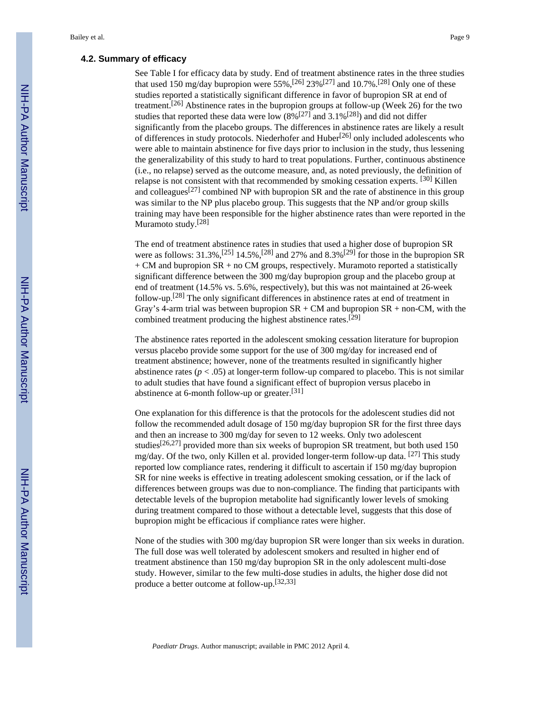# **4.2. Summary of efficacy**

See Table I for efficacy data by study. End of treatment abstinence rates in the three studies that used 150 mg/day bupropion were 55%,<sup>[26]</sup> 23%<sup>[27]</sup> and 10.7%.<sup>[28]</sup> Only one of these studies reported a statistically significant difference in favor of bupropion SR at end of treatment.[26] Abstinence rates in the bupropion groups at follow-up (Week 26) for the two studies that reported these data were low  $(8\%/27]$  and 3.1%<sup>[28]</sup>) and did not differ significantly from the placebo groups. The differences in abstinence rates are likely a result of differences in study protocols. Niederhofer and  $Huber^{[26]}$  only included adolescents who were able to maintain abstinence for five days prior to inclusion in the study, thus lessening the generalizability of this study to hard to treat populations. Further, continuous abstinence (i.e., no relapse) served as the outcome measure, and, as noted previously, the definition of relapse is not consistent with that recommended by smoking cessation experts. [30] Killen and colleagues<sup>[27]</sup> combined NP with bupropion SR and the rate of abstinence in this group was similar to the NP plus placebo group. This suggests that the NP and/or group skills training may have been responsible for the higher abstinence rates than were reported in the Muramoto study.<sup>[28]</sup>

The end of treatment abstinence rates in studies that used a higher dose of bupropion SR were as follows:  $31.3\%$ ,  $^{[25]}$  14.5%,  $^{[28]}$  and  $27\%$  and  $8.3\%$   $^{[29]}$  for those in the bupropion SR + CM and bupropion SR + no CM groups, respectively. Muramoto reported a statistically significant difference between the 300 mg/day bupropion group and the placebo group at end of treatment (14.5% vs. 5.6%, respectively), but this was not maintained at 26-week follow-up.[28] The only significant differences in abstinence rates at end of treatment in Gray's 4-arm trial was between bupropion  $SR + CM$  and bupropion  $SR + non-CM$ , with the combined treatment producing the highest abstinence rates.[29]

The abstinence rates reported in the adolescent smoking cessation literature for bupropion versus placebo provide some support for the use of 300 mg/day for increased end of treatment abstinence; however, none of the treatments resulted in significantly higher abstinence rates ( $p < .05$ ) at longer-term follow-up compared to placebo. This is not similar to adult studies that have found a significant effect of bupropion versus placebo in abstinence at 6-month follow-up or greater.[31]

One explanation for this difference is that the protocols for the adolescent studies did not follow the recommended adult dosage of 150 mg/day bupropion SR for the first three days and then an increase to 300 mg/day for seven to 12 weeks. Only two adolescent studies<sup>[26,27]</sup> provided more than six weeks of bupropion SR treatment, but both used 150 mg/day. Of the two, only Killen et al. provided longer-term follow-up data.  $[27]$  This study reported low compliance rates, rendering it difficult to ascertain if 150 mg/day bupropion SR for nine weeks is effective in treating adolescent smoking cessation, or if the lack of differences between groups was due to non-compliance. The finding that participants with detectable levels of the bupropion metabolite had significantly lower levels of smoking during treatment compared to those without a detectable level, suggests that this dose of bupropion might be efficacious if compliance rates were higher.

None of the studies with 300 mg/day bupropion SR were longer than six weeks in duration. The full dose was well tolerated by adolescent smokers and resulted in higher end of treatment abstinence than 150 mg/day bupropion SR in the only adolescent multi-dose study. However, similar to the few multi-dose studies in adults, the higher dose did not produce a better outcome at follow-up.[32,33]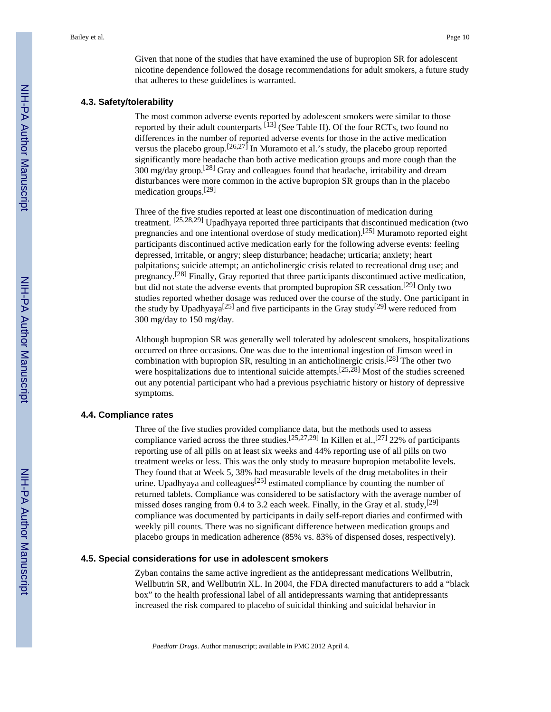Given that none of the studies that have examined the use of bupropion SR for adolescent nicotine dependence followed the dosage recommendations for adult smokers, a future study that adheres to these guidelines is warranted.

#### **4.3. Safety/tolerability**

The most common adverse events reported by adolescent smokers were similar to those reported by their adult counterparts [13] (See Table II). Of the four RCTs, two found no differences in the number of reported adverse events for those in the active medication versus the placebo group.[26,27] In Muramoto et al.'s study, the placebo group reported significantly more headache than both active medication groups and more cough than the 300 mg/day group.[28] Gray and colleagues found that headache, irritability and dream disturbances were more common in the active bupropion SR groups than in the placebo medication groups.[29]

Three of the five studies reported at least one discontinuation of medication during treatment. [25,28,29] Upadhyaya reported three participants that discontinued medication (two pregnancies and one intentional overdose of study medication).[25] Muramoto reported eight participants discontinued active medication early for the following adverse events: feeling depressed, irritable, or angry; sleep disturbance; headache; urticaria; anxiety; heart palpitations; suicide attempt; an anticholinergic crisis related to recreational drug use; and pregnancy.[28] Finally, Gray reported that three participants discontinued active medication, but did not state the adverse events that prompted bupropion SR cessation.[29] Only two studies reported whether dosage was reduced over the course of the study. One participant in the study by Upadhyaya<sup>[25]</sup> and five participants in the Gray study<sup>[29]</sup> were reduced from 300 mg/day to 150 mg/day.

Although bupropion SR was generally well tolerated by adolescent smokers, hospitalizations occurred on three occasions. One was due to the intentional ingestion of Jimson weed in combination with bupropion SR, resulting in an anticholinergic crisis.[28] The other two were hospitalizations due to intentional suicide attempts.<sup>[25,28]</sup> Most of the studies screened out any potential participant who had a previous psychiatric history or history of depressive symptoms.

# **4.4. Compliance rates**

Three of the five studies provided compliance data, but the methods used to assess compliance varied across the three studies.<sup>[25,27,29]</sup> In Killen et al.,<sup>[27]</sup> 22% of participants reporting use of all pills on at least six weeks and 44% reporting use of all pills on two treatment weeks or less. This was the only study to measure bupropion metabolite levels. They found that at Week 5, 38% had measurable levels of the drug metabolites in their urine. Upadhyaya and colleagues<sup>[25]</sup> estimated compliance by counting the number of returned tablets. Compliance was considered to be satisfactory with the average number of missed doses ranging from 0.4 to 3.2 each week. Finally, in the Gray et al. study,  $[29]$ compliance was documented by participants in daily self-report diaries and confirmed with weekly pill counts. There was no significant difference between medication groups and placebo groups in medication adherence (85% vs. 83% of dispensed doses, respectively).

## **4.5. Special considerations for use in adolescent smokers**

Zyban contains the same active ingredient as the antidepressant medications Wellbutrin, Wellbutrin SR, and Wellbutrin XL. In 2004, the FDA directed manufacturers to add a "black box" to the health professional label of all antidepressants warning that antidepressants increased the risk compared to placebo of suicidal thinking and suicidal behavior in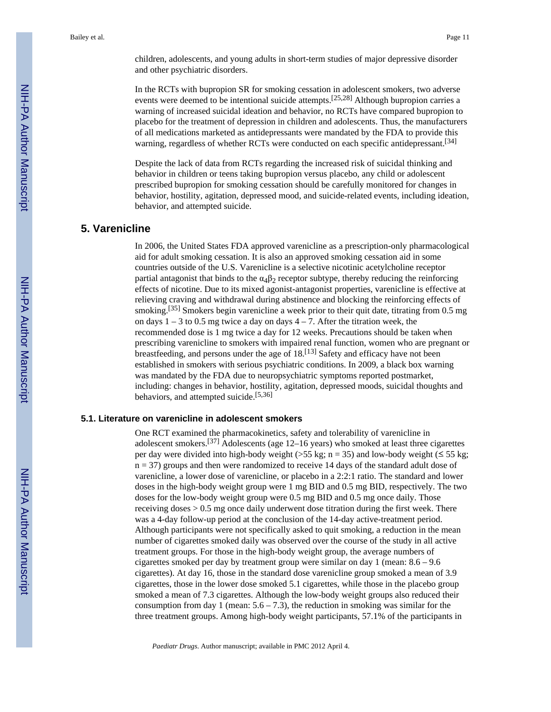children, adolescents, and young adults in short-term studies of major depressive disorder and other psychiatric disorders.

In the RCTs with bupropion SR for smoking cessation in adolescent smokers, two adverse events were deemed to be intentional suicide attempts.<sup>[25,28]</sup> Although bupropion carries a warning of increased suicidal ideation and behavior, no RCTs have compared bupropion to placebo for the treatment of depression in children and adolescents. Thus, the manufacturers of all medications marketed as antidepressants were mandated by the FDA to provide this warning, regardless of whether RCTs were conducted on each specific antidepressant.<sup>[34]</sup>

Despite the lack of data from RCTs regarding the increased risk of suicidal thinking and behavior in children or teens taking bupropion versus placebo, any child or adolescent prescribed bupropion for smoking cessation should be carefully monitored for changes in behavior, hostility, agitation, depressed mood, and suicide-related events, including ideation, behavior, and attempted suicide.

# **5. Varenicline**

In 2006, the United States FDA approved varenicline as a prescription-only pharmacological aid for adult smoking cessation. It is also an approved smoking cessation aid in some countries outside of the U.S. Varenicline is a selective nicotinic acetylcholine receptor partial antagonist that binds to the  $\alpha_4\beta_2$  receptor subtype, thereby reducing the reinforcing effects of nicotine. Due to its mixed agonist-antagonist properties, varenicline is effective at relieving craving and withdrawal during abstinence and blocking the reinforcing effects of smoking.<sup>[35]</sup> Smokers begin varenicline a week prior to their quit date, titrating from 0.5 mg on days  $1 - 3$  to 0.5 mg twice a day on days  $4 - 7$ . After the titration week, the recommended dose is 1 mg twice a day for 12 weeks. Precautions should be taken when prescribing varenicline to smokers with impaired renal function, women who are pregnant or breastfeeding, and persons under the age of  $18$ .<sup>[13]</sup> Safety and efficacy have not been established in smokers with serious psychiatric conditions. In 2009, a black box warning was mandated by the FDA due to neuropsychiatric symptoms reported postmarket, including: changes in behavior, hostility, agitation, depressed moods, suicidal thoughts and behaviors, and attempted suicide.<sup>[5,36]</sup>

#### **5.1. Literature on varenicline in adolescent smokers**

One RCT examined the pharmacokinetics, safety and tolerability of varenicline in adolescent smokers.<sup>[37]</sup> Adolescents (age 12–16 years) who smoked at least three cigarettes per day were divided into high-body weight (>55 kg; n = 35) and low-body weight ( $\leq$  55 kg; n = 37) groups and then were randomized to receive 14 days of the standard adult dose of varenicline, a lower dose of varenicline, or placebo in a 2:2:1 ratio. The standard and lower doses in the high-body weight group were 1 mg BID and 0.5 mg BID, respectively. The two doses for the low-body weight group were 0.5 mg BID and 0.5 mg once daily. Those receiving doses > 0.5 mg once daily underwent dose titration during the first week. There was a 4-day follow-up period at the conclusion of the 14-day active-treatment period. Although participants were not specifically asked to quit smoking, a reduction in the mean number of cigarettes smoked daily was observed over the course of the study in all active treatment groups. For those in the high-body weight group, the average numbers of cigarettes smoked per day by treatment group were similar on day 1 (mean: 8.6 – 9.6 cigarettes). At day 16, those in the standard dose varenicline group smoked a mean of 3.9 cigarettes, those in the lower dose smoked 5.1 cigarettes, while those in the placebo group smoked a mean of 7.3 cigarettes. Although the low-body weight groups also reduced their consumption from day 1 (mean:  $5.6 - 7.3$ ), the reduction in smoking was similar for the three treatment groups. Among high-body weight participants, 57.1% of the participants in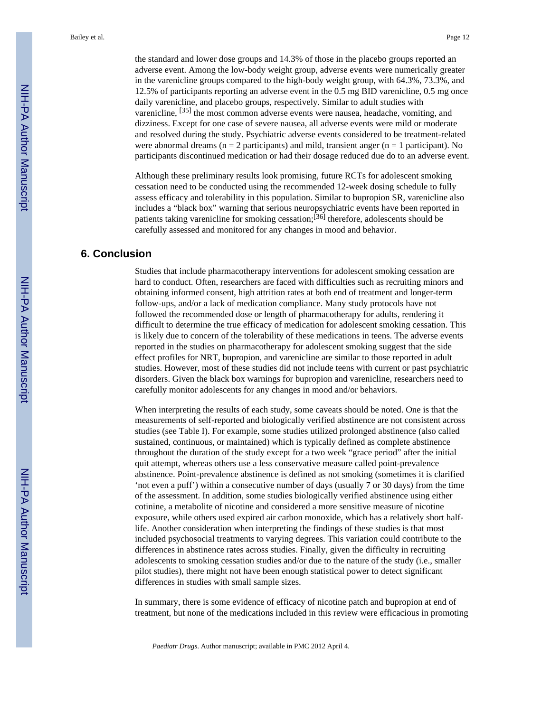the standard and lower dose groups and 14.3% of those in the placebo groups reported an adverse event. Among the low-body weight group, adverse events were numerically greater in the varenicline groups compared to the high-body weight group, with 64.3%, 73.3%, and 12.5% of participants reporting an adverse event in the 0.5 mg BID varenicline, 0.5 mg once daily varenicline, and placebo groups, respectively. Similar to adult studies with varenicline, [35] the most common adverse events were nausea, headache, vomiting, and dizziness. Except for one case of severe nausea, all adverse events were mild or moderate and resolved during the study. Psychiatric adverse events considered to be treatment-related were abnormal dreams ( $n = 2$  participants) and mild, transient anger ( $n = 1$  participant). No participants discontinued medication or had their dosage reduced due do to an adverse event.

Although these preliminary results look promising, future RCTs for adolescent smoking cessation need to be conducted using the recommended 12-week dosing schedule to fully assess efficacy and tolerability in this population. Similar to bupropion SR, varenicline also includes a "black box" warning that serious neuropsychiatric events have been reported in patients taking varenicline for smoking cessation;[36] therefore, adolescents should be carefully assessed and monitored for any changes in mood and behavior.

# **6. Conclusion**

Studies that include pharmacotherapy interventions for adolescent smoking cessation are hard to conduct. Often, researchers are faced with difficulties such as recruiting minors and obtaining informed consent, high attrition rates at both end of treatment and longer-term follow-ups, and/or a lack of medication compliance. Many study protocols have not followed the recommended dose or length of pharmacotherapy for adults, rendering it difficult to determine the true efficacy of medication for adolescent smoking cessation. This is likely due to concern of the tolerability of these medications in teens. The adverse events reported in the studies on pharmacotherapy for adolescent smoking suggest that the side effect profiles for NRT, bupropion, and varenicline are similar to those reported in adult studies. However, most of these studies did not include teens with current or past psychiatric disorders. Given the black box warnings for bupropion and varenicline, researchers need to carefully monitor adolescents for any changes in mood and/or behaviors.

When interpreting the results of each study, some caveats should be noted. One is that the measurements of self-reported and biologically verified abstinence are not consistent across studies (see Table I). For example, some studies utilized prolonged abstinence (also called sustained, continuous, or maintained) which is typically defined as complete abstinence throughout the duration of the study except for a two week "grace period" after the initial quit attempt, whereas others use a less conservative measure called point-prevalence abstinence. Point-prevalence abstinence is defined as not smoking (sometimes it is clarified 'not even a puff') within a consecutive number of days (usually 7 or 30 days) from the time of the assessment. In addition, some studies biologically verified abstinence using either cotinine, a metabolite of nicotine and considered a more sensitive measure of nicotine exposure, while others used expired air carbon monoxide, which has a relatively short halflife. Another consideration when interpreting the findings of these studies is that most included psychosocial treatments to varying degrees. This variation could contribute to the differences in abstinence rates across studies. Finally, given the difficulty in recruiting adolescents to smoking cessation studies and/or due to the nature of the study (i.e., smaller pilot studies), there might not have been enough statistical power to detect significant differences in studies with small sample sizes.

In summary, there is some evidence of efficacy of nicotine patch and bupropion at end of treatment, but none of the medications included in this review were efficacious in promoting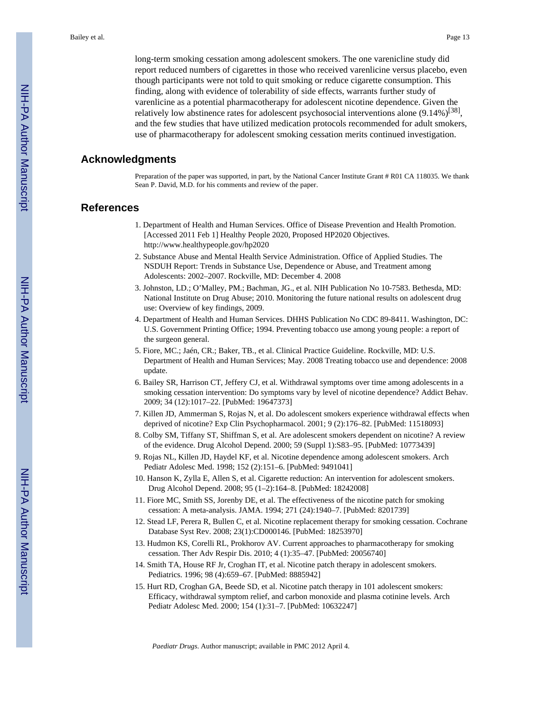long-term smoking cessation among adolescent smokers. The one varenicline study did report reduced numbers of cigarettes in those who received varenlicine versus placebo, even though participants were not told to quit smoking or reduce cigarette consumption. This finding, along with evidence of tolerability of side effects, warrants further study of varenlicine as a potential pharmacotherapy for adolescent nicotine dependence. Given the relatively low abstinence rates for adolescent psychosocial interventions alone (9.14%)<sup>[38]</sup>, and the few studies that have utilized medication protocols recommended for adult smokers, use of pharmacotherapy for adolescent smoking cessation merits continued investigation.

# **Acknowledgments**

Preparation of the paper was supported, in part, by the National Cancer Institute Grant # R01 CA 118035. We thank Sean P. David, M.D. for his comments and review of the paper.

# **References**

- 1. Department of Health and Human Services. Office of Disease Prevention and Health Promotion. [Accessed 2011 Feb 1] Healthy People 2020, Proposed HP2020 Objectives. <http://www.healthypeople.gov/hp2020>
- 2. Substance Abuse and Mental Health Service Administration. Office of Applied Studies. The NSDUH Report: Trends in Substance Use, Dependence or Abuse, and Treatment among Adolescents: 2002–2007. Rockville, MD: December 4. 2008
- 3. Johnston, LD.; O'Malley, PM.; Bachman, JG., et al. NIH Publication No 10-7583. Bethesda, MD: National Institute on Drug Abuse; 2010. Monitoring the future national results on adolescent drug use: Overview of key findings, 2009.
- 4. Department of Health and Human Services. DHHS Publication No CDC 89-8411. Washington, DC: U.S. Government Printing Office; 1994. Preventing tobacco use among young people: a report of the surgeon general.
- 5. Fiore, MC.; Jaén, CR.; Baker, TB., et al. Clinical Practice Guideline. Rockville, MD: U.S. Department of Health and Human Services; May. 2008 Treating tobacco use and dependence: 2008 update.
- 6. Bailey SR, Harrison CT, Jeffery CJ, et al. Withdrawal symptoms over time among adolescents in a smoking cessation intervention: Do symptoms vary by level of nicotine dependence? Addict Behav. 2009; 34 (12):1017–22. [PubMed: 19647373]
- 7. Killen JD, Ammerman S, Rojas N, et al. Do adolescent smokers experience withdrawal effects when deprived of nicotine? Exp Clin Psychopharmacol. 2001; 9 (2):176–82. [PubMed: 11518093]
- 8. Colby SM, Tiffany ST, Shiffman S, et al. Are adolescent smokers dependent on nicotine? A review of the evidence. Drug Alcohol Depend. 2000; 59 (Suppl 1):S83–95. [PubMed: 10773439]
- 9. Rojas NL, Killen JD, Haydel KF, et al. Nicotine dependence among adolescent smokers. Arch Pediatr Adolesc Med. 1998; 152 (2):151–6. [PubMed: 9491041]
- 10. Hanson K, Zylla E, Allen S, et al. Cigarette reduction: An intervention for adolescent smokers. Drug Alcohol Depend. 2008; 95 (1–2):164–8. [PubMed: 18242008]
- 11. Fiore MC, Smith SS, Jorenby DE, et al. The effectiveness of the nicotine patch for smoking cessation: A meta-analysis. JAMA. 1994; 271 (24):1940–7. [PubMed: 8201739]
- 12. Stead LF, Perera R, Bullen C, et al. Nicotine replacement therapy for smoking cessation. Cochrane Database Syst Rev. 2008; 23(1):CD000146. [PubMed: 18253970]
- 13. Hudmon KS, Corelli RL, Prokhorov AV. Current approaches to pharmacotherapy for smoking cessation. Ther Adv Respir Dis. 2010; 4 (1):35–47. [PubMed: 20056740]
- 14. Smith TA, House RF Jr, Croghan IT, et al. Nicotine patch therapy in adolescent smokers. Pediatrics. 1996; 98 (4):659–67. [PubMed: 8885942]
- 15. Hurt RD, Croghan GA, Beede SD, et al. Nicotine patch therapy in 101 adolescent smokers: Efficacy, withdrawal symptom relief, and carbon monoxide and plasma cotinine levels. Arch Pediatr Adolesc Med. 2000; 154 (1):31–7. [PubMed: 10632247]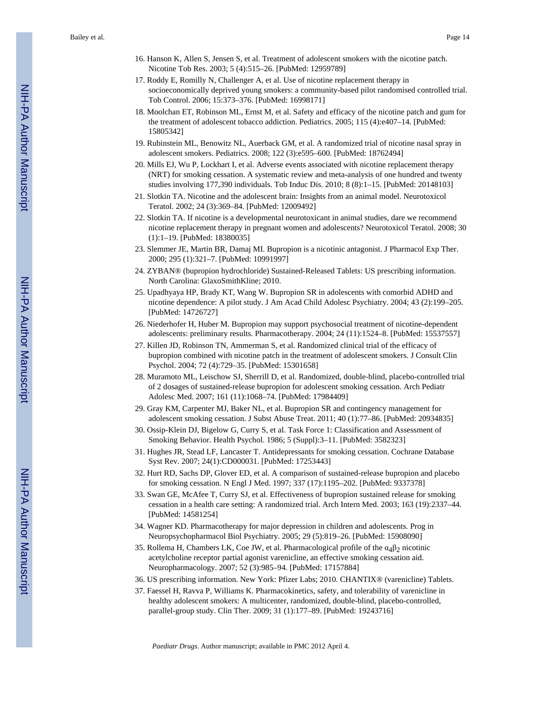- 16. Hanson K, Allen S, Jensen S, et al. Treatment of adolescent smokers with the nicotine patch. Nicotine Tob Res. 2003; 5 (4):515–26. [PubMed: 12959789]
- 17. Roddy E, Romilly N, Challenger A, et al. Use of nicotine replacement therapy in socioeconomically deprived young smokers: a community-based pilot randomised controlled trial. Tob Control. 2006; 15:373–376. [PubMed: 16998171]
- 18. Moolchan ET, Robinson ML, Ernst M, et al. Safety and efficacy of the nicotine patch and gum for the treatment of adolescent tobacco addiction. Pediatrics. 2005; 115 (4):e407–14. [PubMed: 15805342]
- 19. Rubinstein ML, Benowitz NL, Auerback GM, et al. A randomized trial of nicotine nasal spray in adolescent smokers. Pediatrics. 2008; 122 (3):e595–600. [PubMed: 18762494]
- 20. Mills EJ, Wu P, Lockhart I, et al. Adverse events associated with nicotine replacement therapy (NRT) for smoking cessation. A systematic review and meta-analysis of one hundred and twenty studies involving 177,390 individuals. Tob Induc Dis. 2010; 8 (8):1–15. [PubMed: 20148103]
- 21. Slotkin TA. Nicotine and the adolescent brain: Insights from an animal model. Neurotoxicol Teratol. 2002; 24 (3):369–84. [PubMed: 12009492]
- 22. Slotkin TA. If nicotine is a developmental neurotoxicant in animal studies, dare we recommend nicotine replacement therapy in pregnant women and adolescents? Neurotoxicol Teratol. 2008; 30 (1):1–19. [PubMed: 18380035]
- 23. Slemmer JE, Martin BR, Damaj MI. Bupropion is a nicotinic antagonist. J Pharmacol Exp Ther. 2000; 295 (1):321–7. [PubMed: 10991997]
- 24. ZYBAN® (bupropion hydrochloride) Sustained-Released Tablets: US prescribing information. North Carolina: GlaxoSmithKline; 2010.
- 25. Upadhyaya HP, Brady KT, Wang W. Bupropion SR in adolescents with comorbid ADHD and nicotine dependence: A pilot study. J Am Acad Child Adolesc Psychiatry. 2004; 43 (2):199–205. [PubMed: 14726727]
- 26. Niederhofer H, Huber M. Bupropion may support psychosocial treatment of nicotine-dependent adolescents: preliminary results. Pharmacotherapy. 2004; 24 (11):1524–8. [PubMed: 15537557]
- 27. Killen JD, Robinson TN, Ammerman S, et al. Randomized clinical trial of the efficacy of bupropion combined with nicotine patch in the treatment of adolescent smokers. J Consult Clin Psychol. 2004; 72 (4):729–35. [PubMed: 15301658]
- 28. Muramoto ML, Leischow SJ, Sherrill D, et al. Randomized, double-blind, placebo-controlled trial of 2 dosages of sustained-release bupropion for adolescent smoking cessation. Arch Pediatr Adolesc Med. 2007; 161 (11):1068–74. [PubMed: 17984409]
- 29. Gray KM, Carpenter MJ, Baker NL, et al. Bupropion SR and contingency management for adolescent smoking cessation. J Subst Abuse Treat. 2011; 40 (1):77–86. [PubMed: 20934835]
- 30. Ossip-Klein DJ, Bigelow G, Curry S, et al. Task Force 1: Classification and Assessment of Smoking Behavior. Health Psychol. 1986; 5 (Suppl):3–11. [PubMed: 3582323]
- 31. Hughes JR, Stead LF, Lancaster T. Antidepressants for smoking cessation. Cochrane Database Syst Rev. 2007; 24(1):CD000031. [PubMed: 17253443]
- 32. Hurt RD, Sachs DP, Glover ED, et al. A comparison of sustained-release bupropion and placebo for smoking cessation. N Engl J Med. 1997; 337 (17):1195–202. [PubMed: 9337378]
- 33. Swan GE, McAfee T, Curry SJ, et al. Effectiveness of bupropion sustained release for smoking cessation in a health care setting: A randomized trial. Arch Intern Med. 2003; 163 (19):2337–44. [PubMed: 14581254]
- 34. Wagner KD. Pharmacotherapy for major depression in children and adolescents. Prog in Neuropsychopharmacol Biol Psychiatry. 2005; 29 (5):819–26. [PubMed: 15908090]
- 35. Rollema H, Chambers LK, Coe JW, et al. Pharmacological profile of the  $\alpha_4\beta_2$  nicotinic acetylcholine receptor partial agonist varenicline, an effective smoking cessation aid. Neuropharmacology. 2007; 52 (3):985–94. [PubMed: 17157884]
- 36. US prescribing information. New York: Pfizer Labs; 2010. CHANTIX® (varenicline) Tablets.
- 37. Faessel H, Ravva P, Williams K. Pharmacokinetics, safety, and tolerability of varenicline in healthy adolescent smokers: A multicenter, randomized, double-blind, placebo-controlled, parallel-group study. Clin Ther. 2009; 31 (1):177–89. [PubMed: 19243716]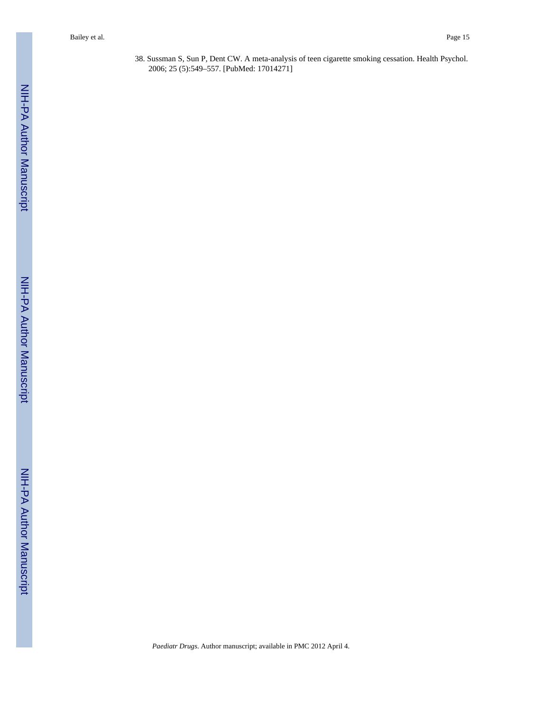38. Sussman S, Sun P, Dent CW. A meta-analysis of teen cigarette smoking cessation. Health Psychol. 2006; 25 (5):549–557. [PubMed: 17014271]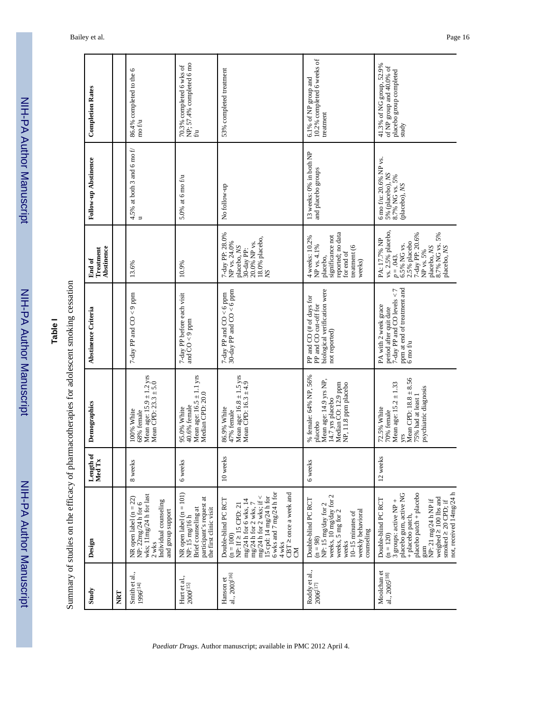| י<br>הווי            |
|----------------------|
|                      |
|                      |
|                      |
| ֪֪֦֧֞֘֝֝֝֝֝ <u>֛</u> |
|                      |
|                      |
|                      |
|                      |
| $\tilde{\mathbf{C}}$ |
|                      |
|                      |
|                      |

# **Table I**

Summary of studies on the efficacy of pharmacotherapies for adolescent smoking cessation Summary of studies on the efficacy of pharmacotherapies for adolescent smoking cessation

| Study                                    | Design                                                                                                                                                                                                                                                   | Length of<br>Med Tx | Demographics                                                                                                                                     | Abstinence Criteria                                                                                                                     | Abstinence<br>Treatment<br>End of                                                                                                                                | Follow-up Abstinence                                                         | <b>Completion Rates</b>                                                                  |
|------------------------------------------|----------------------------------------------------------------------------------------------------------------------------------------------------------------------------------------------------------------------------------------------------------|---------------------|--------------------------------------------------------------------------------------------------------------------------------------------------|-----------------------------------------------------------------------------------------------------------------------------------------|------------------------------------------------------------------------------------------------------------------------------------------------------------------|------------------------------------------------------------------------------|------------------------------------------------------------------------------------------|
| NRT                                      |                                                                                                                                                                                                                                                          |                     |                                                                                                                                                  |                                                                                                                                         |                                                                                                                                                                  |                                                                              |                                                                                          |
| Smith et al.,<br>1996[14]                | wks; 11mg/24 h for last<br>NR open label (n = 22)<br>NP: $22mg/24$ h for 6<br>Individual counseling<br>and group support<br>$2$ wks                                                                                                                      | 8 weeks             | Mean age: $15.9 \pm 1.2$ yrs<br>Mean CPD: $23.3 \pm 5.0$<br>100% White<br>68% female                                                             | 7-day PP and $CO < 9$ ppm                                                                                                               | 13.6%                                                                                                                                                            | 4.5% at both 3 and 6 mo $f$<br>$\Rightarrow$                                 | 86.4% completed to the 6<br>mo f/u                                                       |
| Hurt et al.,<br>$2000^{\left[15\right]}$ | NR open label $(n = 101)$<br>NP: 15 mg/16 h<br>participant's request at<br>Brief counseling at<br>the first clinic visit                                                                                                                                 | 6 weeks             | Mean age: $16.5 \pm 1.1$ yrs<br>Median CPD: 20.0<br>40.6% female<br>95.0% White                                                                  | 7-day PP before each visit<br>and $CO < 9$ ppm                                                                                          | 10.9%                                                                                                                                                            | $5.0\%$ at 6 mo f/u                                                          | 70.3% completed 6 wks of NP; $57.4\%$ completed 6 mo<br>้อ                               |
| al., 2003 <sup>[16]</sup><br>Hanson et   | 6 wks and 7 mg/24 h for<br>CBT ≥ once a week and<br>mg/24 h for 2 wks; if <<br>15 cpd: 14 mg/24 h for<br>Double-blind PC RCT<br>mg/24 h for 6 wks, 14<br>mg/24 h for 2 wks, 7<br>$NP: If \geq 15 CPD: 21$<br>$(n = 100)$<br>4 wks<br><b>NO</b>           | 10 weeks            | Mean age: $16.8 \pm 1.5$ yrs<br>Mean CPD: $16.3 \pm 4.9$<br>86.9% White<br>47% female                                                            | 7-day PP and $CO < 6$ ppm<br>30-day PP and $CO < 6$ ppm                                                                                 | 7-day PP: 28.0%<br>18.0% placebo,<br>20.0% NP vs.<br>NP vs. 24.0%<br>placebo, NS<br>30-day PP:<br>XS                                                             | No follow-up                                                                 | 53% completed treatment                                                                  |
| Roddy et al.,<br>$2006^{[17]}$           | weeks, 10 mg/day for 2<br>Double-blind PC RCT<br>NP: 15 mg/day for 2<br>weekly behavioral<br>weeks, 5 mg for 2<br>10-15 minutes of<br>counseling<br>$(n = 98)$<br>weeks                                                                                  | 6 weeks             | % female: 64% NP, 56%<br>Mean age: 14.9 yrs NP,<br>Median CO: 12.9 ppm<br>NP, 11.8 ppm placebo<br>14.7 yrs placebo<br>placebo                    | biological verification were<br>PP and CO (# of days for<br>PP and CO cut-off for<br>not reported)                                      | reported; no data<br>significance not<br>4 weeks: 10.2%<br>NP vs. 4.1%<br>treatment (6<br>for end of<br>placebo,<br>weeks)                                       | 13 weeks: 0% in both NP<br>and placebo groups                                | 10.2% completed 6 weeks of<br>6.1% of NP group and<br>treatment                          |
| Moolchan et<br>al., 2005 <sup>[18]</sup> | not, received 14mg/24 h<br>placebo gum, active NG<br>placebo patch + placebo<br>weighed $\geq 100$ lbs and<br>Double-blind PC RCT<br>NP: 21 mg/24 h NP if<br>3 groups: active NP +<br>smoked $\geq$ 20 CPD; if<br>+ placebo patch,<br>$(n = 120)$<br>gum | 12 weeks            | Mean CPD: $18.8 \pm 8.56$<br>Mean age: $15.2 \pm 1.33$<br>psychiatric diagnosis<br>75% had at least 1<br>72.5% White<br>70% female<br><b>VIS</b> | ppm at end of treatment and<br>7-day PP and CO levels $<$ 7<br>PA with 2 week grace<br>period after quit date<br>$6 \text{ mo } \ell$ u | vs. 2.5% placebo,<br>8.7% NG vs. 5%<br>7-day PP: 20.6%<br>PA: 17.7% NP<br>2.5% placebo<br>6.5% NG vs.<br>placebo, NS<br>placebo, NS<br>NP vs. 5%<br>$p = .043$ . | 6 mo f/u: 20.6% NP vs.<br>5% (placebo), $NS$ 8.7% NG vs. 5%<br>(placebo), NS | 41.3% of NG group, 52.9%<br>of NP group and 40.0% of<br>placebo group completed<br>study |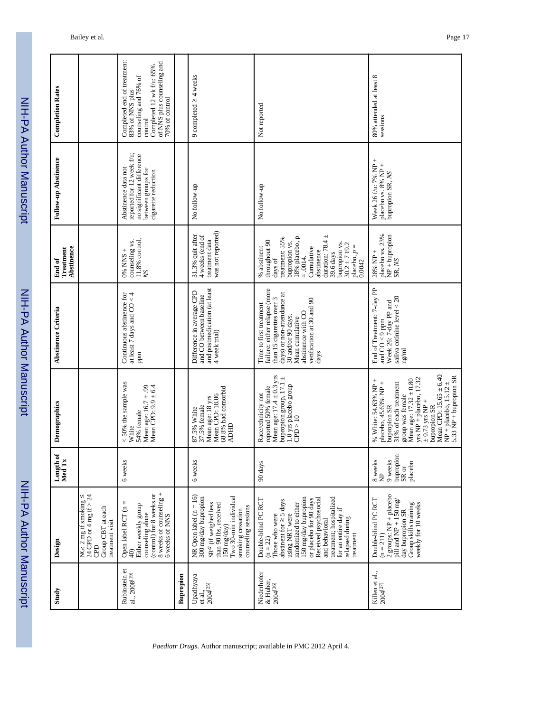| ֞֝֝֝֝֝֝֝֝֝֝֝֝֝֝֝<br>֝֝֝֝֝֝֝֝֝֝֝<br>֖֖֖֖֖֚֚֚֚֚֚֚֚֝֝֝֝֝֝֝֟֘֝֬֝֝ |
|---------------------------------------------------------------|
|                                                               |
|                                                               |
| į                                                             |
|                                                               |
|                                                               |
|                                                               |
|                                                               |
| S<br>F<br>F<br>F                                              |
|                                                               |
|                                                               |

| NIH-PA   |                            | NIH-PA Author Manuscript |                       |
|----------|----------------------------|--------------------------|-----------------------|
|          |                            |                          |                       |
| Criteria | <b>Treatment</b><br>End of | Follow-up Abstinence     | <b>Completion Rat</b> |
|          | Abstinence                 |                          |                       |

| Study                                           | Design                                                                                                                                                                                                                                                                                                       | Length of<br>Med Tx                                       | Demographics                                                                                                                                                                                                                                                                                | Abstinence Criteria                                                                                                                                                                                                     | Abstinence<br>Treatment<br>End of                                                                                                                                                                                                            | Follow-up Abstinence                                                                                                       | <b>Completion Rates</b>                                                                                                                                        |
|-------------------------------------------------|--------------------------------------------------------------------------------------------------------------------------------------------------------------------------------------------------------------------------------------------------------------------------------------------------------------|-----------------------------------------------------------|---------------------------------------------------------------------------------------------------------------------------------------------------------------------------------------------------------------------------------------------------------------------------------------------|-------------------------------------------------------------------------------------------------------------------------------------------------------------------------------------------------------------------------|----------------------------------------------------------------------------------------------------------------------------------------------------------------------------------------------------------------------------------------------|----------------------------------------------------------------------------------------------------------------------------|----------------------------------------------------------------------------------------------------------------------------------------------------------------|
|                                                 | NG: $2 \text{ mg}$ if smoking $\leq$<br>24 CPD or 4 mg if > 24<br>Group CBT at each<br>treatment visit<br>GBD                                                                                                                                                                                                |                                                           |                                                                                                                                                                                                                                                                                             |                                                                                                                                                                                                                         |                                                                                                                                                                                                                                              |                                                                                                                            |                                                                                                                                                                |
| Rubinstein et<br>al., 2008 <sup>[19]</sup>      | 8 weeks of counseling +<br>6 weeks of NNS<br>counseling alone<br>(control) for 8 weeks or<br>Open label RCT ( $n = 40$ )<br>Either weekly group                                                                                                                                                              | 6 weeks                                                   | < 50% the sample was<br>Mean age: $16.7 \pm .99$<br>Mean CPD: $9.9 \pm 6.4$<br>54% female<br>White                                                                                                                                                                                          | at least 7 days and $CO < 4$<br>Continuous abstinence for<br>ppm                                                                                                                                                        | counseling vs.<br>11.8% control,<br>NS<br>$0\%$ NNS +                                                                                                                                                                                        | reported for 12 week f/u;<br>no significant difference<br>Abstinence data not<br>between groups for<br>cigarette reduction | Completed end of treatment:<br>of NNS plus counseling and<br>Completed 12 wk f/u: 65%<br>counseling and 76% of<br>83% of NNS plus<br>70% of control<br>control |
| Bupropion                                       |                                                                                                                                                                                                                                                                                                              |                                                           |                                                                                                                                                                                                                                                                                             |                                                                                                                                                                                                                         |                                                                                                                                                                                                                                              |                                                                                                                            |                                                                                                                                                                |
| Upadhyaya<br>et al.,<br>2004 <sup>[25]</sup>    | $NR$ Open label $(n = 16)$<br>Two 30-min individual<br>300 mg/day bupropion<br>SR <sup>a</sup> (if weighed less<br>than 90 lbs, received<br>counseling sessions<br>smoking cessation<br>150 mg/day)                                                                                                          | 6 weeks                                                   | 68.8% had comorbid<br>Mean age: 18 yrs<br>Mean CPD: 18.06<br>87.5% White<br>37.5% female<br><b>ADHD</b>                                                                                                                                                                                     | and postmedication (at least<br>Difference in average CPD<br>and CO between baseline<br>4 week trial)                                                                                                                   | was not reported)<br>4 weeks (end of<br>31.3% quit after<br>treatment data                                                                                                                                                                   | No follow-up                                                                                                               | 9 completed $\geq$ 4 weeks                                                                                                                                     |
| Niederhofer<br>& Huber,<br>2004 <sup>[26]</sup> | 150 mg/day bupropion<br>treatment; hospitalized<br>Received psychosocial<br>Double-blind PC RCT<br>or placebo for 90 days<br>abstinent for $\geq$ 5 days<br>randomized to either<br>for an entire day if<br>using NRT were<br>Those who were<br>relapsed during<br>and behavioral<br>treatment<br>$(n = 22)$ | 90 days                                                   | Mean age: $17.4 \pm 0.3$ yrs<br>bupropion group, $17.1 \pm$<br>1.0 yrs placebo group<br>reported 50% female<br>Race/ethnicity not<br>CPD > 10                                                                                                                                               | failure: either relapse (more<br>days) or non-attendance at<br>than 15 cigarettes over 3<br>verification at 30 and 90<br>Time to first treatment<br>abstinence with CO<br>30 and/or 90 days.<br>Mean cumulative<br>days | duration: $78.4 \pm$<br>18% placebo, p<br>treatment: 55%<br>throughout 90<br>bupropion vs.<br>bupropion vs.<br>$30.2 \pm 719.2$<br>placebo, $p =$<br>0.0042<br>Cumulative<br>% abstinent<br>abstinence<br>39.6 days<br>$= .0014.$<br>days of | No follow-up                                                                                                               | Not reported                                                                                                                                                   |
| Killen et al.,<br>$2004^{[27]}$                 | 2 groups: $NP + placebo$<br>Double-blind PC RCT<br>pill and NP + $150 \text{ mg}$<br>Group skills training<br>weekly for 10 weeks<br>day bupropion SR<br>$(n = 211)$                                                                                                                                         | bupropion<br>9 weeks<br>8 weeks<br>NP<br>placebo<br>SR or | Mean CPD: $15.65 \pm 6.40$<br>$NP + placebo, 15.12 \pm 5.33 NP + bupropion SR$<br>yrs NP + placebo, 17.32<br>% White: 54.63% NP +<br>Mean age: $17.32 \pm 0.80$<br>placebo, 45.63% NP +<br>31% of each treatment<br>group was female<br>$\pm$ 0.73 yrs NP +<br>bupropion SR<br>bupropion SR | End of Treatment: 7-day PP<br>saliva cotinine level $<$ 20<br>Week 26: 7-day PP and<br>and $CO < 9$ ppm<br>$\rm ng/ml$                                                                                                  | placebo vs. 23%<br>$\overline{NP}$ + bupropion<br>SR, $\overline{NS}$<br>$28% NP +$                                                                                                                                                          | Week 26 f/u: 7% NP +<br>placebo vs. 8% NP +<br>bupropion SR, NS                                                            | 80% attended at least 8<br>sessions                                                                                                                            |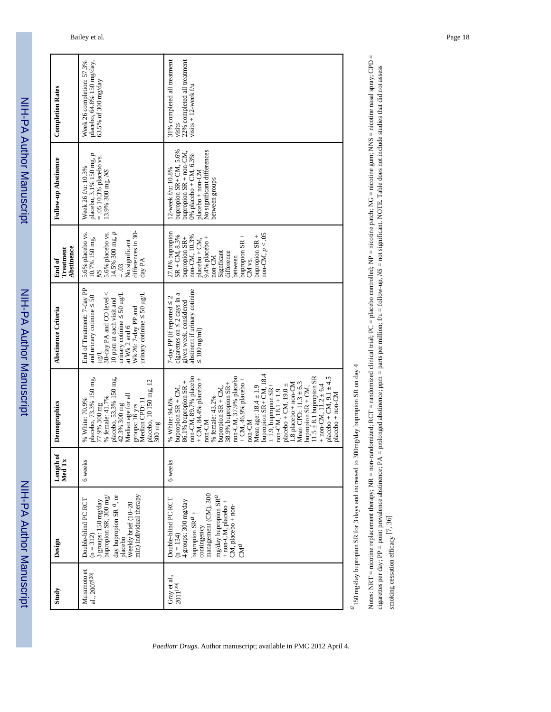NIH-PA Author ManuscriptNIH-PA Author Manuscript

NIH-PA Author Manuscript

NIH-PA Author Manuscript

| <b>Completion Rates</b>           | placebo, 64.8% 150 mg/day,<br>Week 26 completion: 57.3%<br>63.5% of 300 mg/day                                                                                                                                                                                | 31% completed all treatment<br>22% completed all treatment<br>visits $+ 12$ -week f/u<br>visits                                                                                                                                                                                                                                                                                                                                                                                                                                                                                            |
|-----------------------------------|---------------------------------------------------------------------------------------------------------------------------------------------------------------------------------------------------------------------------------------------------------------|--------------------------------------------------------------------------------------------------------------------------------------------------------------------------------------------------------------------------------------------------------------------------------------------------------------------------------------------------------------------------------------------------------------------------------------------------------------------------------------------------------------------------------------------------------------------------------------------|
| Follow-up Abstinence              | placebo, 3.1% 150 mg, p<br>$= .05 10.3%$ placebo vs.<br>Week 26 f/u: 10.3%<br>13.9% 300 mg, NS                                                                                                                                                                | No significant differences<br>bupropion SR+ CM, 5.6%<br>bupropion SR + non-CM,<br>0% placebo + CM, 6.3%<br>12-week f/u: 10.8%<br>$placebo + non-CM$<br>between groups                                                                                                                                                                                                                                                                                                                                                                                                                      |
| Abstinence<br>Treatment<br>End of | differences in 30-<br>$14.5\%$ 300 mg, $p$<br>5.6% placebo vs.<br>5.6% placebo vs.<br>10.7% 150 mg,<br>No significant<br>day PA<br>$= .03$<br>NS <sup>1</sup>                                                                                                 | 27.0% bupropion<br>$non-CM, p < 0.05$<br>bupropion SR +<br>bupropion SR +<br>$SR + CM$ , 8.3%<br>non-CM, 10.3%<br>bupropion SR+<br>placebo + CM,<br>9.4% placebo +<br>difference<br>Signficant<br>non-CM<br>between<br>CM vs.                                                                                                                                                                                                                                                                                                                                                              |
| Abstinence Criteria               | End of Treatment: 7-day PP<br>30-day PA and CO level <<br>$\mu$ inary cotinine $\leq$ 50 $\mu$ g/L<br>urinary cotinine $\leq$ 50 $\mu$ g/L<br>and urinary cotinine $\leq$ 50<br>10 ppm at each visit and<br>Wk 26: 7-day PP and<br>at Wk 2 and 6<br>$\mu$ g/L | abstinent if urinary cotinine<br>cigarettes on $\leq$ 2 days in a<br>7-day PP (if reported $\leq 2$<br>given week, considered<br>$\leq 100 \text{ ng/ml}$                                                                                                                                                                                                                                                                                                                                                                                                                                  |
| Demographics                      | placebo, 73.3% 150 mg<br>placebo, 53.3% 150 mg<br>placebo, 10 150 mg, 12<br>Median age for all<br>77.9% 300 mg<br>% female: 41.7%<br>Median CPD: 11<br>% White: 70.9%<br>42.3% 300 mg<br>groups: 16 yrs<br>300 mg                                             | $11.5 \pm 8.1$ bupropion SR<br>non-CM, 37.9% placebo<br>$placebo + CM, 9.1 \pm 4.5$<br>non-CM, 89.7% placebo<br>bupropion SR+ CM, 18.<br>+ CM, 46.9% placebo +<br>+ CM, 84.4% placebo +<br>86.1% bupropion SR +<br>38.9% bupropion SR+<br>.8 placebo + non-CM<br>Mean CPD: $11.3 \pm 6.3$<br>placebo + CM, $19.0 \pm$<br>+ non-CM, $11.2 \pm 6.4$<br>$\pm$ 1.9, bupropion SR+<br>bupropion $SR + CM$ ,<br>Mean age: $18.4 \pm 1.9$<br>bupropion $SR + CM$ ,<br>bupropion SR + CM,<br>$non-CM, 18.1 \pm 1.9$<br>$placebo + non-CM$<br>% female: 43.2%<br>% White: 94.6%<br>non-CM<br>non-CM |
| Length of<br>Med Tx               | 6 weeks                                                                                                                                                                                                                                                       | 6 weeks                                                                                                                                                                                                                                                                                                                                                                                                                                                                                                                                                                                    |
| Design                            | day bu<br>propion SR $^a,$ or<br>min) individual therapy<br>3 groups: $150 \text{ mg/day}$<br>                                                                                                                                                                | management (CM), 300<br>mg/day bu<br>propion $\mathrm{SR}^d$<br>Double-blind PC RCT<br>4 groups: 300 mg/day<br>                                                                                                                                                                                                                                                                                                                                                                                                                                                                            |
| Study                             | Muramoto et<br>al., 2007 <sup>[28]</sup>                                                                                                                                                                                                                      | Gray et al.,<br>$2011^{[29]}$                                                                                                                                                                                                                                                                                                                                                                                                                                                                                                                                                              |

*Paediatr Drugs*. Author manuscript; available in PMC 2012 April 4.

 $^4$  150 mg/day bupropion SR for 3 days and increased to 300<br>mg/day bupropion SR on day 4  $\,$ *a*150 mg/day bupropion SR for 3 days and increased to 300mg/day bupropion SR on day 4

Notes: NRT = nicotine replacement therapy; NR = non-randomized; RCT = randomized clinical trial; PC = placebo controlled; NP = nicotine patch; NG = nicotine gum; NNS = nicotine nasal spray; CPD = Notes: NRT = nicotine replacement therapy; NR = non-randomized; NC = nicotionized; RCT = randomized; RP = nicotine patch; NG = nicotine nasal spray; CPD = nicotine nasal spray; CPD = cigarettes per day; PP = point prevalence abstinence; PA = prolonged abstinence; ppm = parts per million; f/u = follow-up, NS = not significant. NOTE. Table does not include studies that did not assess cigarettes per day; PP = point prevalence abstinence; PA = prolonged abstinence; ppm = parts per million; f/u = follow-up, *NS* = not significant. NOTE. Table does not include studies that did not assess smoking cessation efficacy  $[7, 36]$ smoking cessation efficacy [7, 36]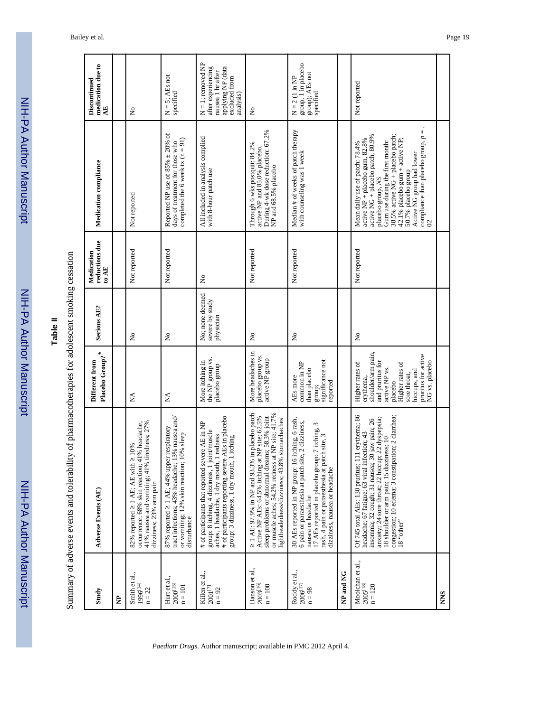NIH-PA Author Manuscript NIH-PA Author Manuscript **Table II**

Summary of adverse events and tolerability of pharmacotherapies for adolescent smoking cessation

NIH-PA Author Manuscript

NIH-PA Author Manuscript

|                                                                                                  | medication due to<br>$\mathbf{A}\mathbf{E}$<br>Discontinued |   | $\stackrel{\circ}{\mathsf{z}}$                                                                                                                                             | $N = 5$ ; AEs not<br>specified                                                                                                                                  | $N = 1$ ; removed $NP$<br>applying NP (data<br>after experiencing<br>nausea 1 hr after<br>excluded from<br>analysis)                                                                                                                                | $\tilde{\mathsf{z}}$                                                                                                                                                                                                                                       | group, 1 in placebo<br>group); AEs not<br>specified<br>$N = 2$ (1 in NP                                                                                                                                                                                          |           | Not reported                                                                                                                                                                                                                                                                                                                               |            |
|--------------------------------------------------------------------------------------------------|-------------------------------------------------------------|---|----------------------------------------------------------------------------------------------------------------------------------------------------------------------------|-----------------------------------------------------------------------------------------------------------------------------------------------------------------|-----------------------------------------------------------------------------------------------------------------------------------------------------------------------------------------------------------------------------------------------------|------------------------------------------------------------------------------------------------------------------------------------------------------------------------------------------------------------------------------------------------------------|------------------------------------------------------------------------------------------------------------------------------------------------------------------------------------------------------------------------------------------------------------------|-----------|--------------------------------------------------------------------------------------------------------------------------------------------------------------------------------------------------------------------------------------------------------------------------------------------------------------------------------------------|------------|
|                                                                                                  | Medication compliance                                       |   | Not reported                                                                                                                                                               | Reported NP use of 85% $\pm$ 20% of<br>completed the 6 week tx $(n = 91)$<br>days of treatment for those who                                                    | All included in analysis complied<br>with 8-hour patch use                                                                                                                                                                                          | During 4-wk dose reduction: 67.2%<br>NP and 68.5% placebo<br>Through 6 wks postquit: 84.2%<br>active NP and 85.0% placebo.                                                                                                                                 | Median # of weeks of patch therapy<br>with counseling was 1 week                                                                                                                                                                                                 |           | compliance than placebo group, $p =$<br>Gum use during the first month:<br>38.5% active NG + placebo patch;<br>active NG + placebo patch, 80.9%<br>42.1% placebo gum + active NP;<br>active NP + placebo gum, 82.8%<br>Mean daily use of patch: 78.4%<br>50.7% placebo group<br>Active NG group had lower<br>placebo group, NS<br>$\Omega$ |            |
|                                                                                                  | reductions due<br>Medication<br>to AE                       |   | Not reported                                                                                                                                                               | Not reported                                                                                                                                                    | $\mathsf{S}^{\mathsf{o}}$                                                                                                                                                                                                                           | Not reported                                                                                                                                                                                                                                               | Not reported                                                                                                                                                                                                                                                     |           | Not reported                                                                                                                                                                                                                                                                                                                               |            |
|                                                                                                  | <b>Serious AE?</b>                                          |   | $\tilde{z}$                                                                                                                                                                | $\tilde{z}$                                                                                                                                                     | No; none deemed<br>severe by study<br>physician                                                                                                                                                                                                     | $\mathsf{S}^{\mathsf{o}}$                                                                                                                                                                                                                                  | $\tilde{z}$                                                                                                                                                                                                                                                      |           | ż                                                                                                                                                                                                                                                                                                                                          |            |
|                                                                                                  | Placebo Group? <sup>*</sup><br>Different from               |   | Ź                                                                                                                                                                          | Ź                                                                                                                                                               | the NP group vs.<br>More itching in<br>placebo group                                                                                                                                                                                                | More headaches in<br>placebo group vs.<br>active NP group                                                                                                                                                                                                  | significance not<br>common in NP<br>than placebo<br>AEs more<br>reported<br>group;                                                                                                                                                                               |           | shoulder/arm pain,<br>pruritus for active<br>NG vs. placebo<br>and pruritus for<br>Higher rates of<br>Higher rates of<br>active NP vs.<br>hiccups, and<br>sore throat,<br>erythema,<br>placebo                                                                                                                                             |            |
| Summary of adverse events and tolerability of pharmacotherapies for adolescent smoking cessation | <b>Adverse Events (AE)</b>                                  |   | tiredness; 27%<br>occurrence: 68% skin reaction; 41% headache;<br>82% reported $\geq 1$ AE; AE with $\geq 10\%$<br>41% nausea and vomiting; 41%<br>dizziness; 23% arm pain | 13% nausea and/<br>87% reported ≥ 1 AE; 44% upper respiratory<br>10% sleep<br>or vomiting; $12\%$ skin reaction; disturbance<br>tract infections; 43% headache; | # of participants reporting severe AEs in placebo<br># of participants that reported severe AE in NP<br>group: 8 itching, 4 dizziness, 1 joint/muscle<br>aches, 1 headache, 1 dry mouth, 1 redness<br>1 itching<br>group: 3 dizziness, 1 dry mouth, | in placebo patch<br>or muscle aches; 54.2% redness at NP site; 41.7%<br>sleep problems or abnormal dreams; 58.3% joint<br>Active NP AEs: 64.5% itching at NP site; 62.5%<br>lightheadedness/dizziness; 43.8% stomachaches<br>≥ 1 AE: 97.9% in NP and 93.3% | 30 AEs reported in NP group: 16 itching, 6 rash,<br>6 pain or paraesthesia at patch site, 2 dizziness,<br>17 AEs reported in placebo group: 7 itching, 3<br>rash, 4 pain or paraesthesia at patch site, 3<br>dizziness, nausea or headache<br>nausea or headache |           | 111 erythema; 86<br>congestion; 10 edema; 3 constipation; 2 diarrhea;<br>18 "other"<br>anxiety; 24 sore throat; 22 hiccup; 22 dyspepsia;<br>30 jaw pain; 26<br>headache; 67 fatigue; 63 viral infection; 43<br>18 shoulder or arm pain; 15 dizziness; 10<br>Of 745 total AEs: 130 pruritus; 1<br>insomnia; 32 cough; 31 nausea;            |            |
|                                                                                                  | Study                                                       | È | Smith et al.,<br>$1996^{[14]}$<br>$n = 22$                                                                                                                                 | Hurt et al.,<br>$2000^{[15]}$<br>$n = 101$                                                                                                                      | Killen et al.,<br>$2001^{[7]}$<br>$n = 92$                                                                                                                                                                                                          | Hanson et al.,<br>2003 <sup>[16]</sup><br>$n = 100$                                                                                                                                                                                                        | Roddy et al.,<br>$2006^{[17]}$<br>$n = 98$                                                                                                                                                                                                                       | NP and NG | Moolchan et al.,<br>2005 <sup>[18]</sup><br>$n = 120$                                                                                                                                                                                                                                                                                      | <b>NNS</b> |

#### Bailey et al. Page 19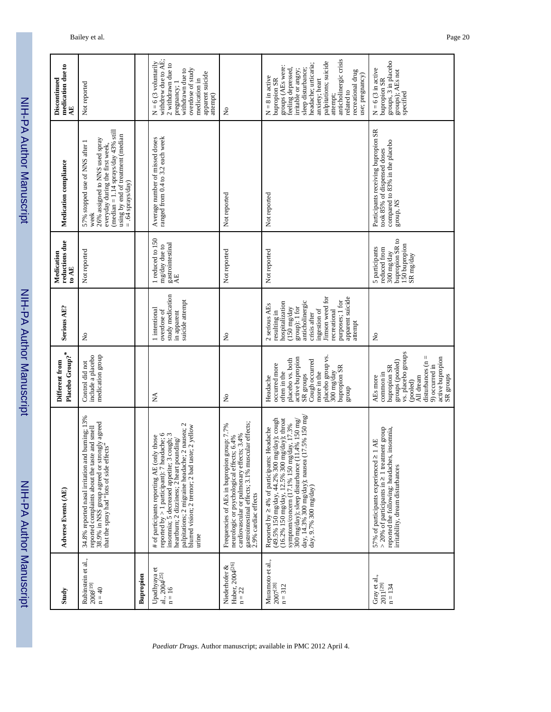| <b>MUNITE</b> |
|---------------|
|               |
|               |
|               |
|               |
|               |
| $\frac{1}{2}$ |
|               |
|               |
| <u>מממון</u>  |
|               |
|               |
|               |

| Study                                                           | <b>Adverse Events (AE)</b>                                                                                                                                                                                                                                                                                                                                           | Placebo Group? <sup>*</sup><br>Different from                                                                                                                                               | Serious AE?                                                                                                                                                                                                                         | reductions due<br>Medication<br>to AE                                                         | Medication compliance                                                                                                                                                                                       | medication due to<br>Discontinued<br>ĄE                                                                                                                                                                                                                                                  |
|-----------------------------------------------------------------|----------------------------------------------------------------------------------------------------------------------------------------------------------------------------------------------------------------------------------------------------------------------------------------------------------------------------------------------------------------------|---------------------------------------------------------------------------------------------------------------------------------------------------------------------------------------------|-------------------------------------------------------------------------------------------------------------------------------------------------------------------------------------------------------------------------------------|-----------------------------------------------------------------------------------------------|-------------------------------------------------------------------------------------------------------------------------------------------------------------------------------------------------------------|------------------------------------------------------------------------------------------------------------------------------------------------------------------------------------------------------------------------------------------------------------------------------------------|
| Rubinstein et al.,<br>$2008^{[19]}$<br>$n = 40$                 | 34.8% reported nasal irritation and burning; 13%<br>reported complaints about the taste and smell<br>38.9% in NSS group agreed or strongly agreed<br>that the spray had "lots of side effects"                                                                                                                                                                       | include a placebo<br>medication group<br>Control did not                                                                                                                                    | $\tilde{z}$                                                                                                                                                                                                                         | Not reported                                                                                  | (median $= 1.14$ sprays/day 43% still<br>using by end of treatment (median $= .64$ sprays/day)<br>26% assigned to NNS used spray<br>everyday during the first week,<br>57% stopped use of NNS after<br>week | Not reported                                                                                                                                                                                                                                                                             |
| Bupropion                                                       |                                                                                                                                                                                                                                                                                                                                                                      |                                                                                                                                                                                             |                                                                                                                                                                                                                                     |                                                                                               |                                                                                                                                                                                                             |                                                                                                                                                                                                                                                                                          |
| Upadhyaya et<br>al., 2004 <sup>[25]</sup><br>$n = 16$           | palpitations; 2 migraine headache; 2 nausea; 2<br>blurred vision; 2 tremor; 2 bad taste; 2 yellow<br>reported by $>1$ participant): $7$ headache; 6 insomnia; 5 decreased appetite; 3 cough; 3<br># of participants reporting AE (only those<br>heartburn; 2 dizziness; 2 heart pounding/<br>urine                                                                   | ≸                                                                                                                                                                                           | study medication<br>suicide attempt<br>1 intentional<br>overdose of<br>in apparent                                                                                                                                                  | 1 reduced to 150<br>mg/day due to<br>gastrointestinal<br>A.E                                  | ranged from 0.4 to 3.2 each week<br>Average number of missed doses                                                                                                                                          | withdrew due to AE;<br>$N = 6$ (3 voluntarily<br>2 withdrawn due to<br>overdose of study<br>withdrawn due to<br>apparent suicide<br>medication in<br>pregnancy; 1<br>attempt)                                                                                                            |
| Niederhofer &<br>Huber, 2004 <sup>[26]</sup><br>$\mathbf{n}=22$ | cardiovascular or pulmonary effects; 3.4%<br>gastrointestinal effects; 3.1% muscular effects;<br>2.9% cardiac effects<br>group: 7.7%<br>neurologic or psychological effects; 6.4%<br>Frequencies of AEs in bupropion                                                                                                                                                 | $\tilde{z}$                                                                                                                                                                                 | $\tilde{z}$                                                                                                                                                                                                                         | Not reported                                                                                  | Not reported                                                                                                                                                                                                | ż                                                                                                                                                                                                                                                                                        |
| Muramoto et al.,<br>$2007^{[28]}$<br>$n = 312$                  | $(17.5\% 150$ mg/<br>$(49.5\% 150 \text{ mg/day}, 44.2\% 300 \text{ mg/day})$ ; cough<br>$(16.2\% 150 \text{ mg/day}, 12.5\% 300 \text{ mg/day})$ ; throat<br>11.4% 150 mg/<br>symptom/concern (17.1% 150 mg/day, 17.3%<br>Reported by ≥ 4% of participants: Headache<br>300 mg/day); sleep disturbance (<br>day, 14.3% 300 mg/day); nausea<br>day, 9.7% 300 mg/day) | placebo group vs.<br>active bupropion<br>placebo vs. both<br>Cough occurred<br>occurred more<br>bupropion SR<br>more in the<br>300 mg/day<br>often in the<br>SR groups<br>Headache<br>dnora | Jimson weed for<br>apparent suicide<br>purposes; 1 for<br>anticholinergic<br>hospitalization<br>2 serious AEs<br>group): 1 for<br>$(150 \text{ mg/day})$<br>ingestion of<br>resulting in<br>recreational<br>crisis after<br>attempt | Not reported                                                                                  | Not reported                                                                                                                                                                                                | anticholinergic crisis<br>palpitations; suicide<br>headache; urticaria;<br>groups (AEs were:<br>feeling depressed,<br>sleep disturbance;<br>irritable or angry;<br>recreational drug<br>use; pregnancy)<br>$N = 8$ in active<br>bupropion SR<br>anxiety; heart<br>related to<br>attempt; |
| Gray et al., $2011^{[29]}$<br>$n = 134$                         | $>$ 20% of participants in $\geq$ 1 treatment group<br>reported the following: headaches, insomnia,<br>57% of participants experienced ≥ 1 AE<br>irritability, dream disturbances                                                                                                                                                                                    | vs. placebo groups<br>disturbances ( $n =$<br>active bupropion<br>groups (pooled)<br>9) occurred in<br>bupropion SR<br>common in<br>SR groups<br>All dream<br>AEs more<br>(pooled)          | ş                                                                                                                                                                                                                                   | bupropion SR to<br>150 bupropion<br>5 participants<br>reduced from<br>300 mg/day<br>SR mg/day | Participants receiving bupropion SR<br>compared to 83% in the placebo<br>took 85% of dispensed doses<br>group, NS                                                                                           | groups, 3 in placebo<br>$N = 6$ (3 in active<br>groups); AEs not<br>bupropion SR<br>specified                                                                                                                                                                                            |